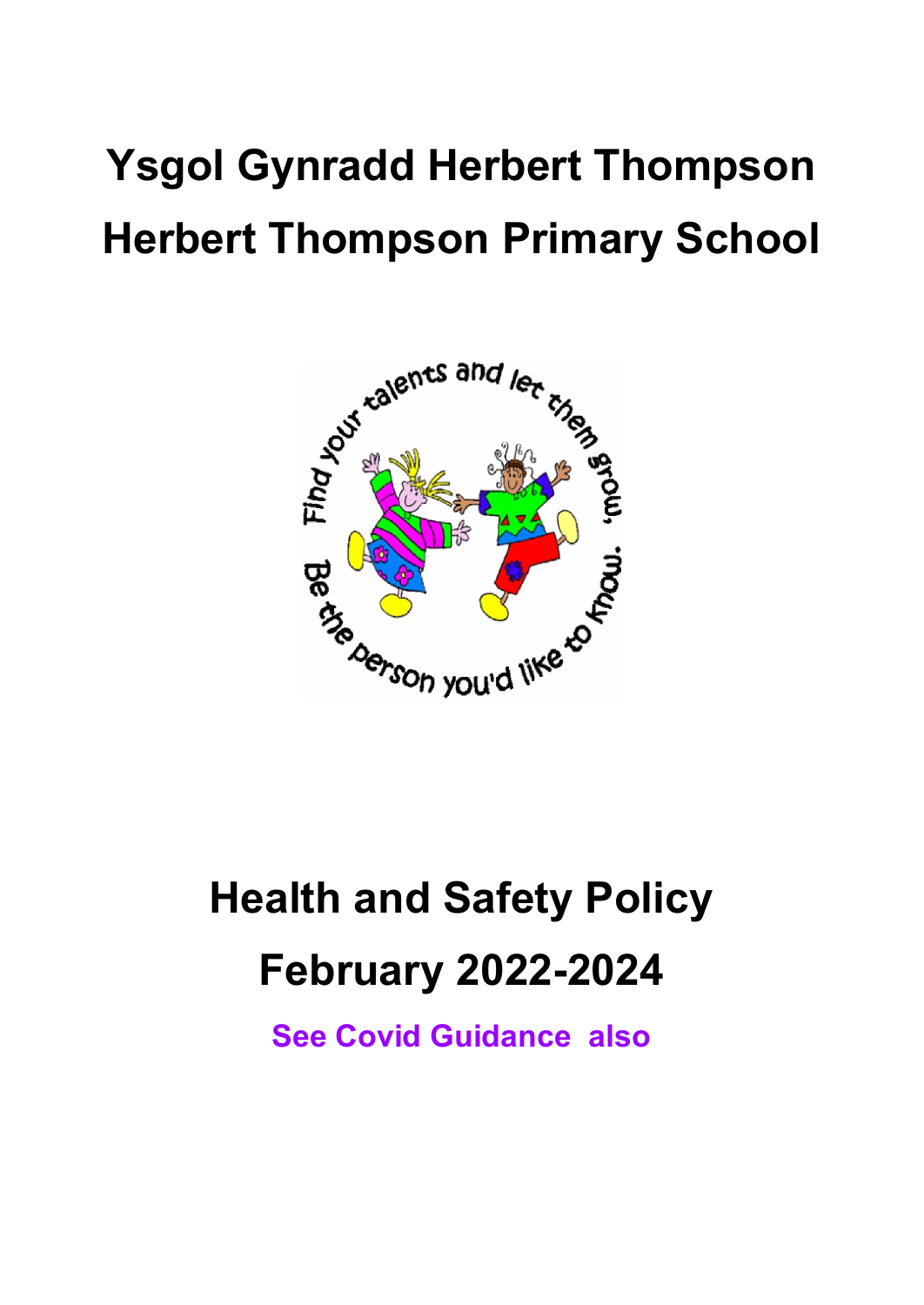# **Ysgol Gynradd Herbert Thompson Herbert Thompson Primary School**



# **Health and Safety Policy February 2022-2024**

**See Covid Guidance also**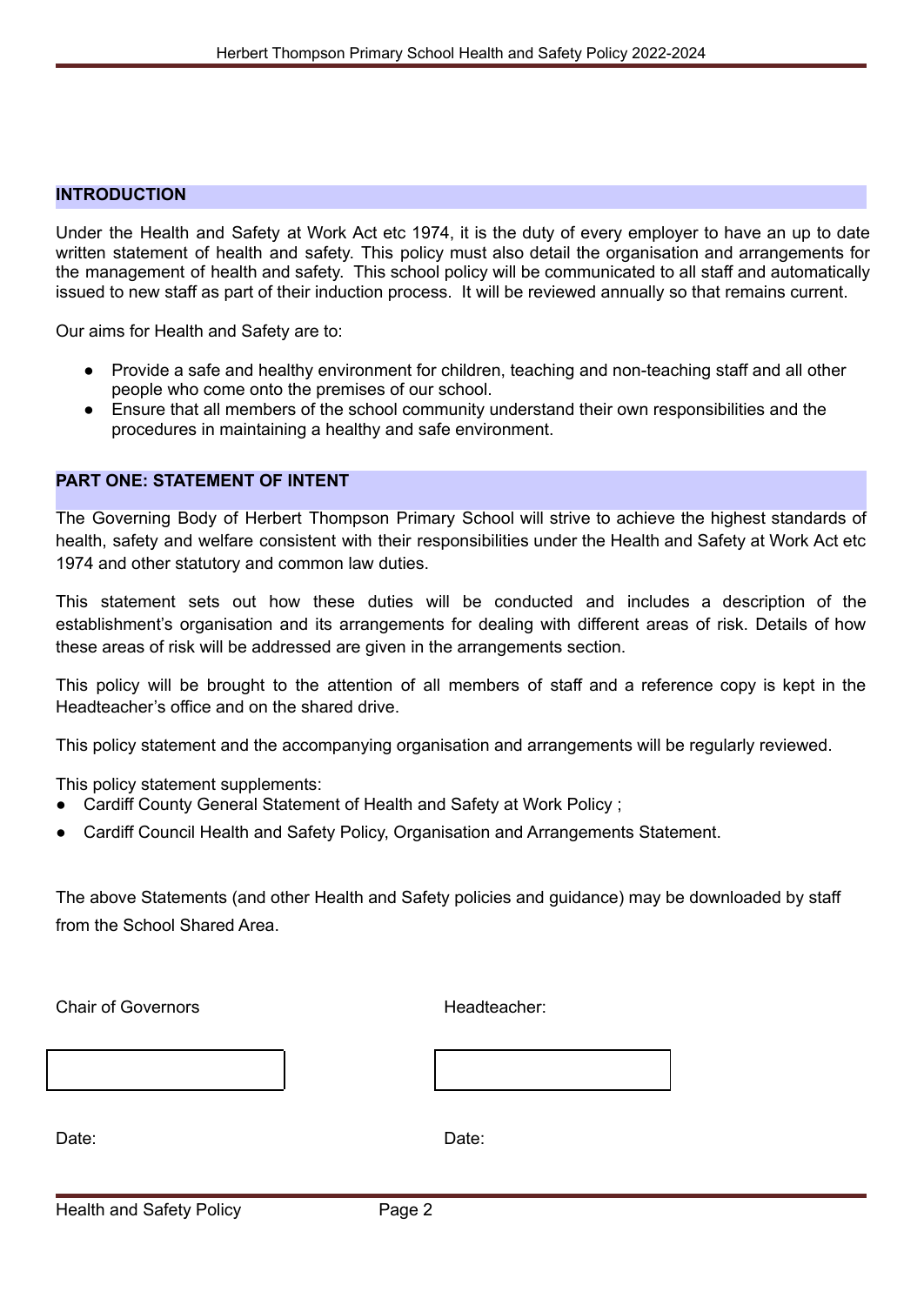#### **INTRODUCTION**

Under the Health and Safety at Work Act etc 1974, it is the duty of every employer to have an up to date written statement of health and safety. This policy must also detail the organisation and arrangements for the management of health and safety. This school policy will be communicated to all staff and automatically issued to new staff as part of their induction process. It will be reviewed annually so that remains current.

Our aims for Health and Safety are to:

- Provide a safe and healthy environment for children, teaching and non-teaching staff and all other people who come onto the premises of our school.
- Ensure that all members of the school community understand their own responsibilities and the procedures in maintaining a healthy and safe environment.

#### **PART ONE: STATEMENT OF INTENT**

The Governing Body of Herbert Thompson Primary School will strive to achieve the highest standards of health, safety and welfare consistent with their responsibilities under the Health and Safety at Work Act etc 1974 and other statutory and common law duties.

This statement sets out how these duties will be conducted and includes a description of the establishment's organisation and its arrangements for dealing with different areas of risk. Details of how these areas of risk will be addressed are given in the arrangements section.

This policy will be brought to the attention of all members of staff and a reference copy is kept in the Headteacher's office and on the shared drive.

This policy statement and the accompanying organisation and arrangements will be regularly reviewed.

This policy statement supplements:

- Cardiff County General Statement of Health and Safety at Work Policy;
- Cardiff Council Health and Safety Policy, Organisation and Arrangements Statement.

The above Statements (and other Health and Safety policies and guidance) may be downloaded by staff from the School Shared Area.

Chair of Governors **Headteacher:** 

Date: **Date: Date: Date: Date: Date: Date: Date: Date: Date: Date: Date: Date: Date: Date: Date: Date: Date: Date: Date: Date: Date: Date: Date: Date: Date: Date: Date:**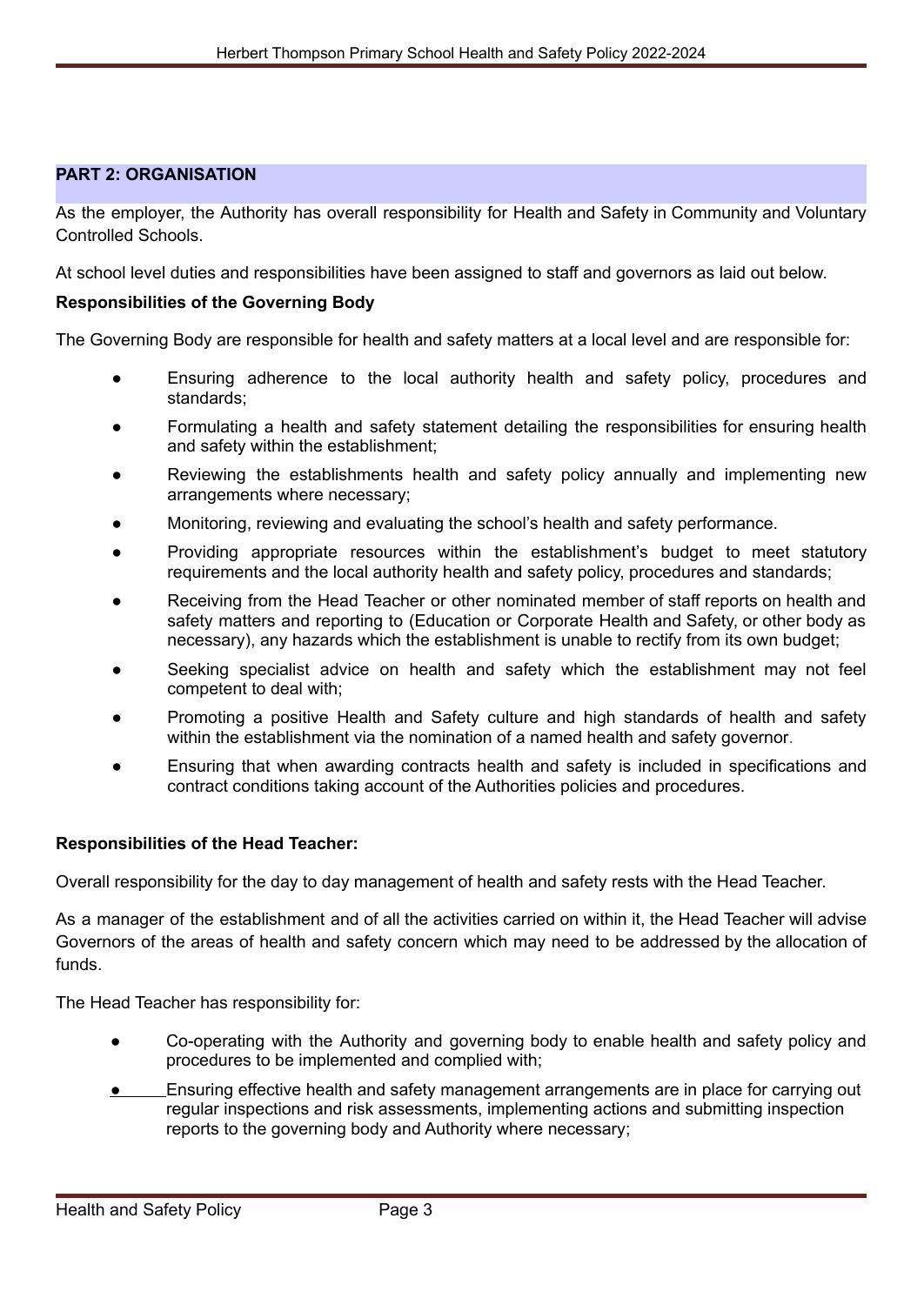## **PART 2: ORGANISATION**

As the employer, the Authority has overall responsibility for Health and Safety in Community and Voluntary Controlled Schools.

At school level duties and responsibilities have been assigned to staff and governors as laid out below.

## **Responsibilities of the Governing Body**

The Governing Body are responsible for health and safety matters at a local level and are responsible for:

- Ensuring adherence to the local authority health and safety policy, procedures and standards;
- Formulating a health and safety statement detailing the responsibilities for ensuring health and safety within the establishment;
- Reviewing the establishments health and safety policy annually and implementing new arrangements where necessary;
- Monitoring, reviewing and evaluating the school's health and safety performance.
- Providing appropriate resources within the establishment's budget to meet statutory requirements and the local authority health and safety policy, procedures and standards;
- Receiving from the Head Teacher or other nominated member of staff reports on health and safety matters and reporting to (Education or Corporate Health and Safety, or other body as necessary), any hazards which the establishment is unable to rectify from its own budget;
- Seeking specialist advice on health and safety which the establishment may not feel competent to deal with;
- Promoting a positive Health and Safety culture and high standards of health and safety within the establishment via the nomination of a named health and safety governor.
- Ensuring that when awarding contracts health and safety is included in specifications and contract conditions taking account of the Authorities policies and procedures.

## **Responsibilities of the Head Teacher:**

Overall responsibility for the day to day management of health and safety rests with the Head Teacher.

As a manager of the establishment and of all the activities carried on within it, the Head Teacher will advise Governors of the areas of health and safety concern which may need to be addressed by the allocation of funds.

The Head Teacher has responsibility for:

- Co-operating with the Authority and governing body to enable health and safety policy and procedures to be implemented and complied with;
- Ensuring effective health and safety management arrangements are in place for carrying out regular inspections and risk assessments, implementing actions and submitting inspection reports to the governing body and Authority where necessary;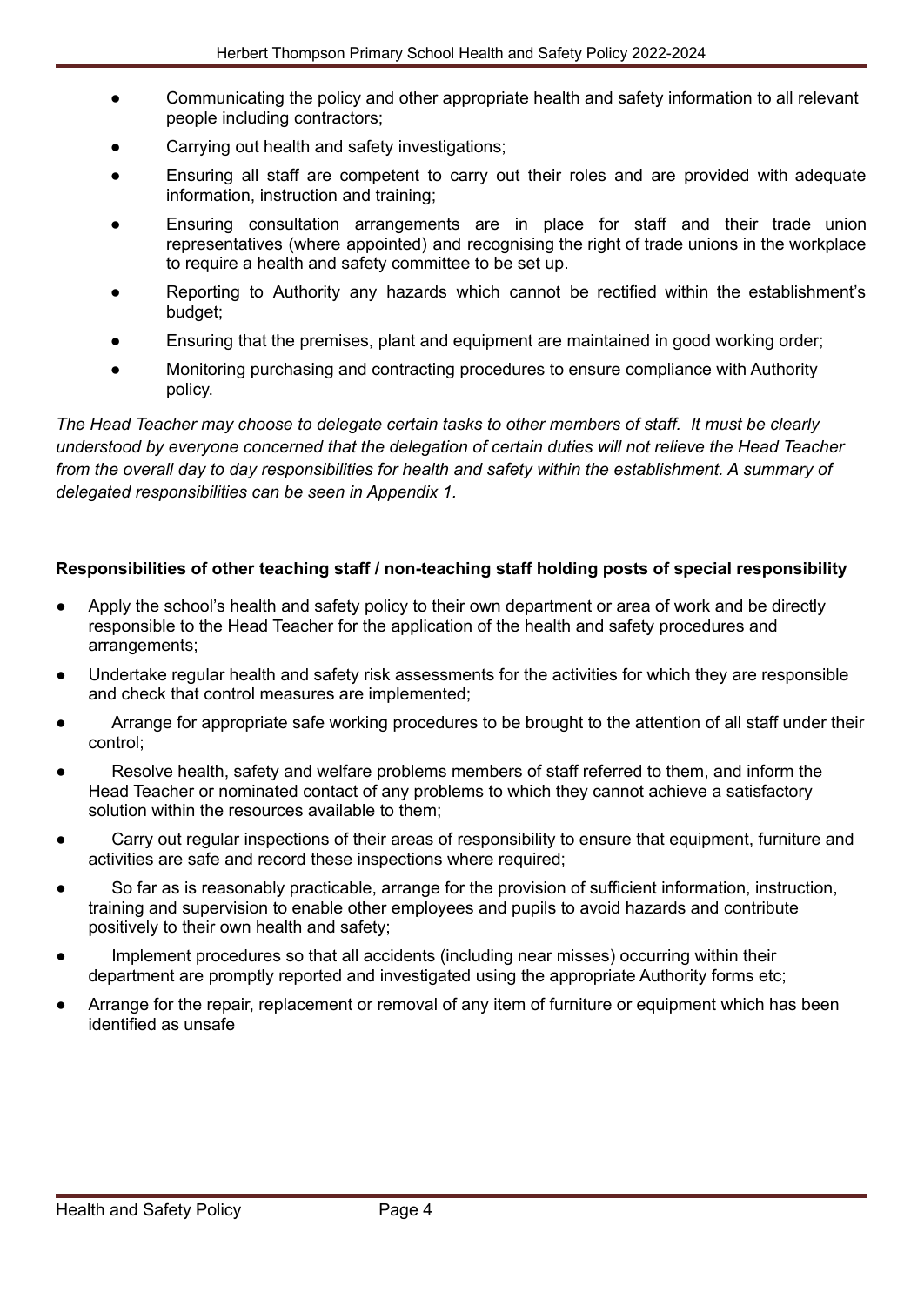- Communicating the policy and other appropriate health and safety information to all relevant people including contractors;
- Carrying out health and safety investigations;
- Ensuring all staff are competent to carry out their roles and are provided with adequate information, instruction and training;
- Ensuring consultation arrangements are in place for staff and their trade union representatives (where appointed) and recognising the right of trade unions in the workplace to require a health and safety committee to be set up.
- Reporting to Authority any hazards which cannot be rectified within the establishment's budget;
- Ensuring that the premises, plant and equipment are maintained in good working order;
- Monitoring purchasing and contracting procedures to ensure compliance with Authority policy.

The Head Teacher may choose to delegate certain tasks to other members of staff. It must be clearly *understood by everyone concerned that the delegation of certain duties will not relieve the Head Teacher from the overall day to day responsibilities for health and safety within the establishment. A summary of delegated responsibilities can be seen in Appendix 1.*

# **Responsibilities of other teaching staff / non-teaching staff holding posts of special responsibility**

- Apply the school's health and safety policy to their own department or area of work and be directly responsible to the Head Teacher for the application of the health and safety procedures and arrangements;
- Undertake regular health and safety risk assessments for the activities for which they are responsible and check that control measures are implemented;
- Arrange for appropriate safe working procedures to be brought to the attention of all staff under their control;
- Resolve health, safety and welfare problems members of staff referred to them, and inform the Head Teacher or nominated contact of any problems to which they cannot achieve a satisfactory solution within the resources available to them;
- Carry out regular inspections of their areas of responsibility to ensure that equipment, furniture and activities are safe and record these inspections where required;
- So far as is reasonably practicable, arrange for the provision of sufficient information, instruction, training and supervision to enable other employees and pupils to avoid hazards and contribute positively to their own health and safety;
- Implement procedures so that all accidents (including near misses) occurring within their department are promptly reported and investigated using the appropriate Authority forms etc;
- Arrange for the repair, replacement or removal of any item of furniture or equipment which has been identified as unsafe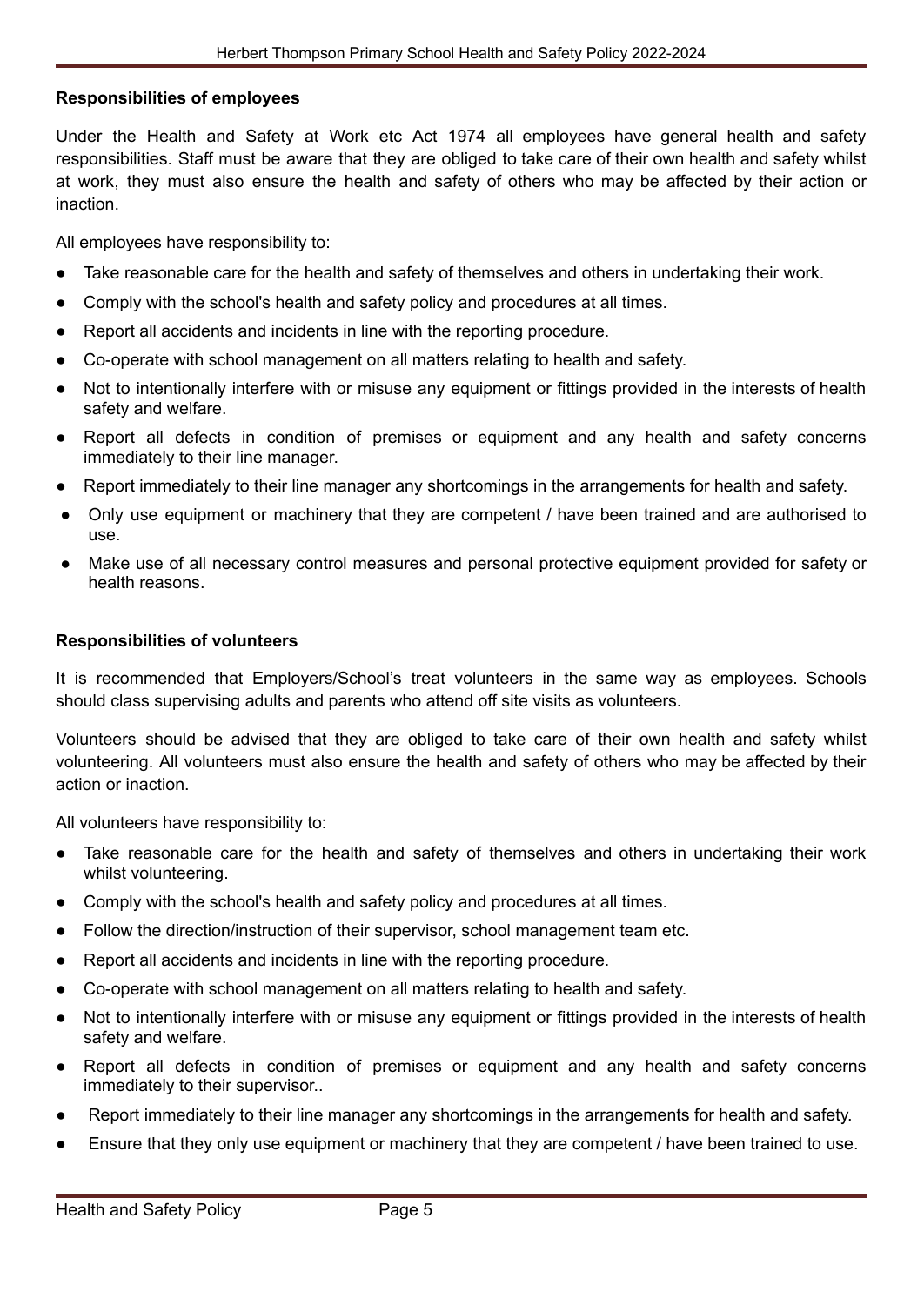## **Responsibilities of employees**

Under the Health and Safety at Work etc Act 1974 all employees have general health and safety responsibilities. Staff must be aware that they are obliged to take care of their own health and safety whilst at work, they must also ensure the health and safety of others who may be affected by their action or inaction.

All employees have responsibility to:

- Take reasonable care for the health and safety of themselves and others in undertaking their work.
- Comply with the school's health and safety policy and procedures at all times.
- Report all accidents and incidents in line with the reporting procedure.
- Co-operate with school management on all matters relating to health and safety.
- Not to intentionally interfere with or misuse any equipment or fittings provided in the interests of health safety and welfare.
- Report all defects in condition of premises or equipment and any health and safety concerns immediately to their line manager.
- Report immediately to their line manager any shortcomings in the arrangements for health and safety.
- Only use equipment or machinery that they are competent / have been trained and are authorised to use.
- Make use of all necessary control measures and personal protective equipment provided for safety or health reasons.

## **Responsibilities of volunteers**

It is recommended that Employers/School's treat volunteers in the same way as employees. Schools should class supervising adults and parents who attend off site visits as volunteers.

Volunteers should be advised that they are obliged to take care of their own health and safety whilst volunteering. All volunteers must also ensure the health and safety of others who may be affected by their action or inaction.

All volunteers have responsibility to:

- Take reasonable care for the health and safety of themselves and others in undertaking their work whilst volunteering.
- Comply with the school's health and safety policy and procedures at all times.
- Follow the direction/instruction of their supervisor, school management team etc.
- Report all accidents and incidents in line with the reporting procedure.
- Co-operate with school management on all matters relating to health and safety.
- Not to intentionally interfere with or misuse any equipment or fittings provided in the interests of health safety and welfare.
- Report all defects in condition of premises or equipment and any health and safety concerns immediately to their supervisor..
- Report immediately to their line manager any shortcomings in the arrangements for health and safety.
- Ensure that they only use equipment or machinery that they are competent / have been trained to use.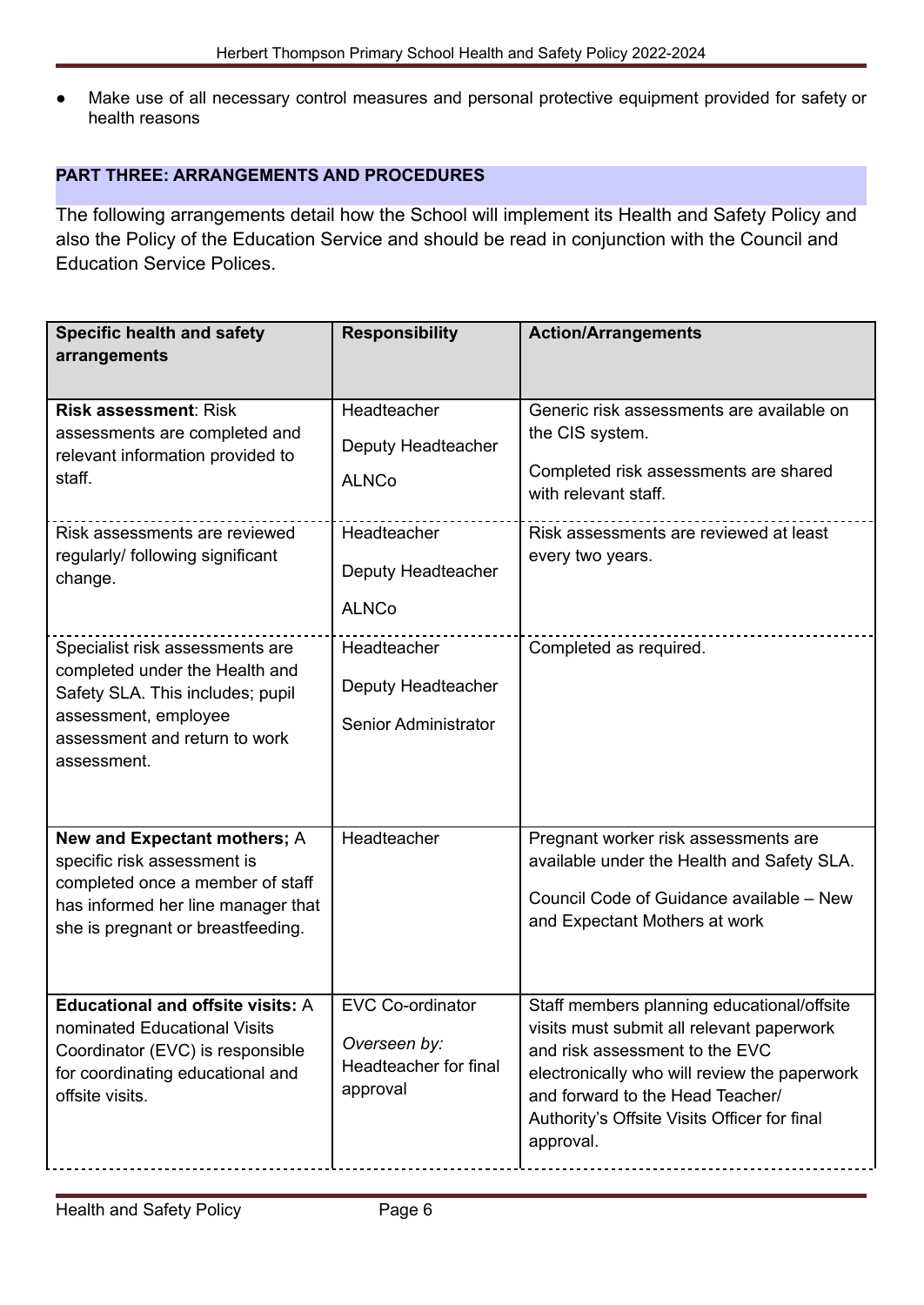Make use of all necessary control measures and personal protective equipment provided for safety or health reasons

# **PART THREE: ARRANGEMENTS AND PROCEDURES**

The following arrangements detail how the School will implement its Health and Safety Policy and also the Policy of the Education Service and should be read in conjunction with the Council and Education Service Polices.

| <b>Specific health and safety</b><br>arrangements                                                                                                                             | <b>Responsibility</b>                                                        | <b>Action/Arrangements</b>                                                                                                                                                                                                                                                 |
|-------------------------------------------------------------------------------------------------------------------------------------------------------------------------------|------------------------------------------------------------------------------|----------------------------------------------------------------------------------------------------------------------------------------------------------------------------------------------------------------------------------------------------------------------------|
| <b>Risk assessment: Risk</b><br>assessments are completed and<br>relevant information provided to<br>staff.                                                                   | Headteacher<br>Deputy Headteacher<br><b>ALNCo</b>                            | Generic risk assessments are available on<br>the CIS system.<br>Completed risk assessments are shared<br>with relevant staff.                                                                                                                                              |
| Risk assessments are reviewed<br>regularly/ following significant<br>change.                                                                                                  | Headteacher<br>Deputy Headteacher<br><b>ALNCo</b>                            | Risk assessments are reviewed at least<br>every two years.                                                                                                                                                                                                                 |
| Specialist risk assessments are<br>completed under the Health and<br>Safety SLA. This includes; pupil<br>assessment, employee<br>assessment and return to work<br>assessment. | Headteacher<br>Deputy Headteacher<br>Senior Administrator                    | Completed as required.                                                                                                                                                                                                                                                     |
| New and Expectant mothers; A<br>specific risk assessment is<br>completed once a member of staff<br>has informed her line manager that<br>she is pregnant or breastfeeding.    | Headteacher                                                                  | Pregnant worker risk assessments are<br>available under the Health and Safety SLA.<br>Council Code of Guidance available - New<br>and Expectant Mothers at work                                                                                                            |
| <b>Educational and offsite visits: A</b><br>nominated Educational Visits<br>Coordinator (EVC) is responsible<br>for coordinating educational and<br>offsite visits.           | <b>EVC Co-ordinator</b><br>Overseen by:<br>Headteacher for final<br>approval | Staff members planning educational/offsite<br>visits must submit all relevant paperwork<br>and risk assessment to the EVC<br>electronically who will review the paperwork<br>and forward to the Head Teacher/<br>Authority's Offsite Visits Officer for final<br>approval. |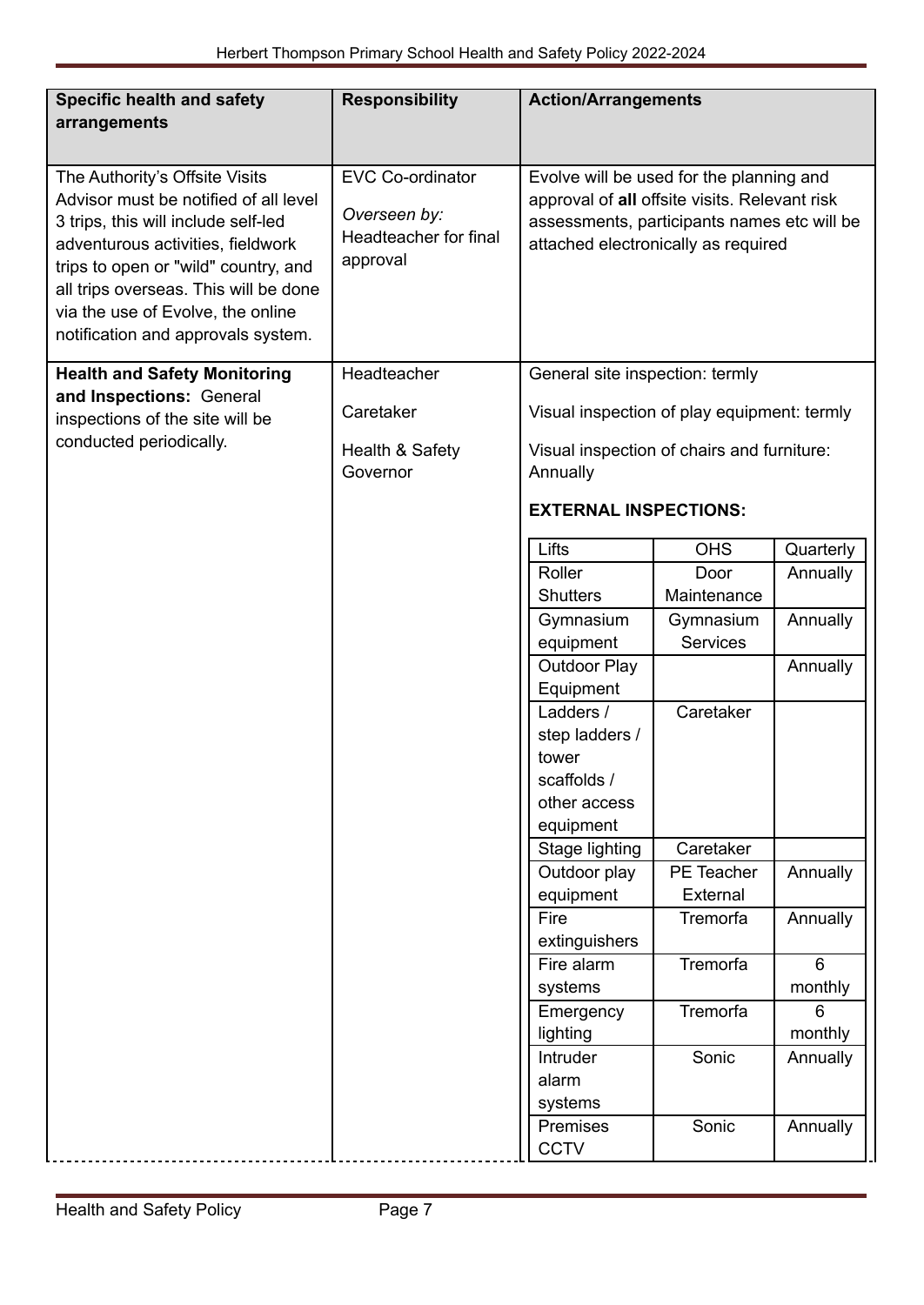| <b>Specific health and safety</b>                                                                                                                                                                                                                                                                               | <b>Responsibility</b>                                                        | <b>Action/Arrangements</b>                                                                                                                                                      |                              |              |
|-----------------------------------------------------------------------------------------------------------------------------------------------------------------------------------------------------------------------------------------------------------------------------------------------------------------|------------------------------------------------------------------------------|---------------------------------------------------------------------------------------------------------------------------------------------------------------------------------|------------------------------|--------------|
| arrangements                                                                                                                                                                                                                                                                                                    |                                                                              |                                                                                                                                                                                 |                              |              |
|                                                                                                                                                                                                                                                                                                                 |                                                                              |                                                                                                                                                                                 |                              |              |
| The Authority's Offsite Visits<br>Advisor must be notified of all level<br>3 trips, this will include self-led<br>adventurous activities, fieldwork<br>trips to open or "wild" country, and<br>all trips overseas. This will be done<br>via the use of Evolve, the online<br>notification and approvals system. | <b>EVC Co-ordinator</b><br>Overseen by:<br>Headteacher for final<br>approval | Evolve will be used for the planning and<br>approval of all offsite visits. Relevant risk<br>assessments, participants names etc will be<br>attached electronically as required |                              |              |
| <b>Health and Safety Monitoring</b>                                                                                                                                                                                                                                                                             | Headteacher                                                                  | General site inspection: termly                                                                                                                                                 |                              |              |
| and Inspections: General<br>inspections of the site will be                                                                                                                                                                                                                                                     | Caretaker                                                                    | Visual inspection of play equipment: termly                                                                                                                                     |                              |              |
| conducted periodically.                                                                                                                                                                                                                                                                                         | Health & Safety<br>Governor                                                  | Visual inspection of chairs and furniture:<br>Annually                                                                                                                          |                              |              |
|                                                                                                                                                                                                                                                                                                                 |                                                                              | <b>EXTERNAL INSPECTIONS:</b>                                                                                                                                                    |                              |              |
|                                                                                                                                                                                                                                                                                                                 |                                                                              | Lifts                                                                                                                                                                           | <b>OHS</b>                   | Quarterly    |
|                                                                                                                                                                                                                                                                                                                 |                                                                              | Roller                                                                                                                                                                          | Door                         | Annually     |
|                                                                                                                                                                                                                                                                                                                 |                                                                              | <b>Shutters</b>                                                                                                                                                                 | Maintenance                  |              |
|                                                                                                                                                                                                                                                                                                                 |                                                                              | Gymnasium<br>equipment                                                                                                                                                          | Gymnasium<br><b>Services</b> | Annually     |
|                                                                                                                                                                                                                                                                                                                 |                                                                              | Outdoor Play                                                                                                                                                                    |                              | Annually     |
|                                                                                                                                                                                                                                                                                                                 |                                                                              | Equipment                                                                                                                                                                       |                              |              |
|                                                                                                                                                                                                                                                                                                                 |                                                                              | Ladders /                                                                                                                                                                       | Caretaker                    |              |
|                                                                                                                                                                                                                                                                                                                 |                                                                              | step ladders /                                                                                                                                                                  |                              |              |
|                                                                                                                                                                                                                                                                                                                 |                                                                              | tower<br>scaffolds /                                                                                                                                                            |                              |              |
|                                                                                                                                                                                                                                                                                                                 |                                                                              | other access                                                                                                                                                                    |                              |              |
|                                                                                                                                                                                                                                                                                                                 |                                                                              | equipment                                                                                                                                                                       |                              |              |
|                                                                                                                                                                                                                                                                                                                 |                                                                              | Stage lighting                                                                                                                                                                  | Caretaker                    |              |
|                                                                                                                                                                                                                                                                                                                 |                                                                              | Outdoor play                                                                                                                                                                    | PE Teacher                   | Annually     |
|                                                                                                                                                                                                                                                                                                                 |                                                                              | equipment                                                                                                                                                                       | External                     |              |
|                                                                                                                                                                                                                                                                                                                 |                                                                              | Fire                                                                                                                                                                            | Tremorfa                     | Annually     |
|                                                                                                                                                                                                                                                                                                                 |                                                                              | extinguishers                                                                                                                                                                   |                              |              |
|                                                                                                                                                                                                                                                                                                                 |                                                                              | Fire alarm                                                                                                                                                                      | Tremorfa                     | 6            |
|                                                                                                                                                                                                                                                                                                                 |                                                                              | systems                                                                                                                                                                         | Tremorfa                     | monthly<br>6 |
|                                                                                                                                                                                                                                                                                                                 |                                                                              | Emergency<br>lighting                                                                                                                                                           |                              | monthly      |
|                                                                                                                                                                                                                                                                                                                 |                                                                              | Intruder                                                                                                                                                                        | Sonic                        | Annually     |
|                                                                                                                                                                                                                                                                                                                 |                                                                              | alarm                                                                                                                                                                           |                              |              |
|                                                                                                                                                                                                                                                                                                                 |                                                                              | systems                                                                                                                                                                         |                              |              |
|                                                                                                                                                                                                                                                                                                                 |                                                                              | Premises<br><b>CCTV</b>                                                                                                                                                         | Sonic                        | Annually     |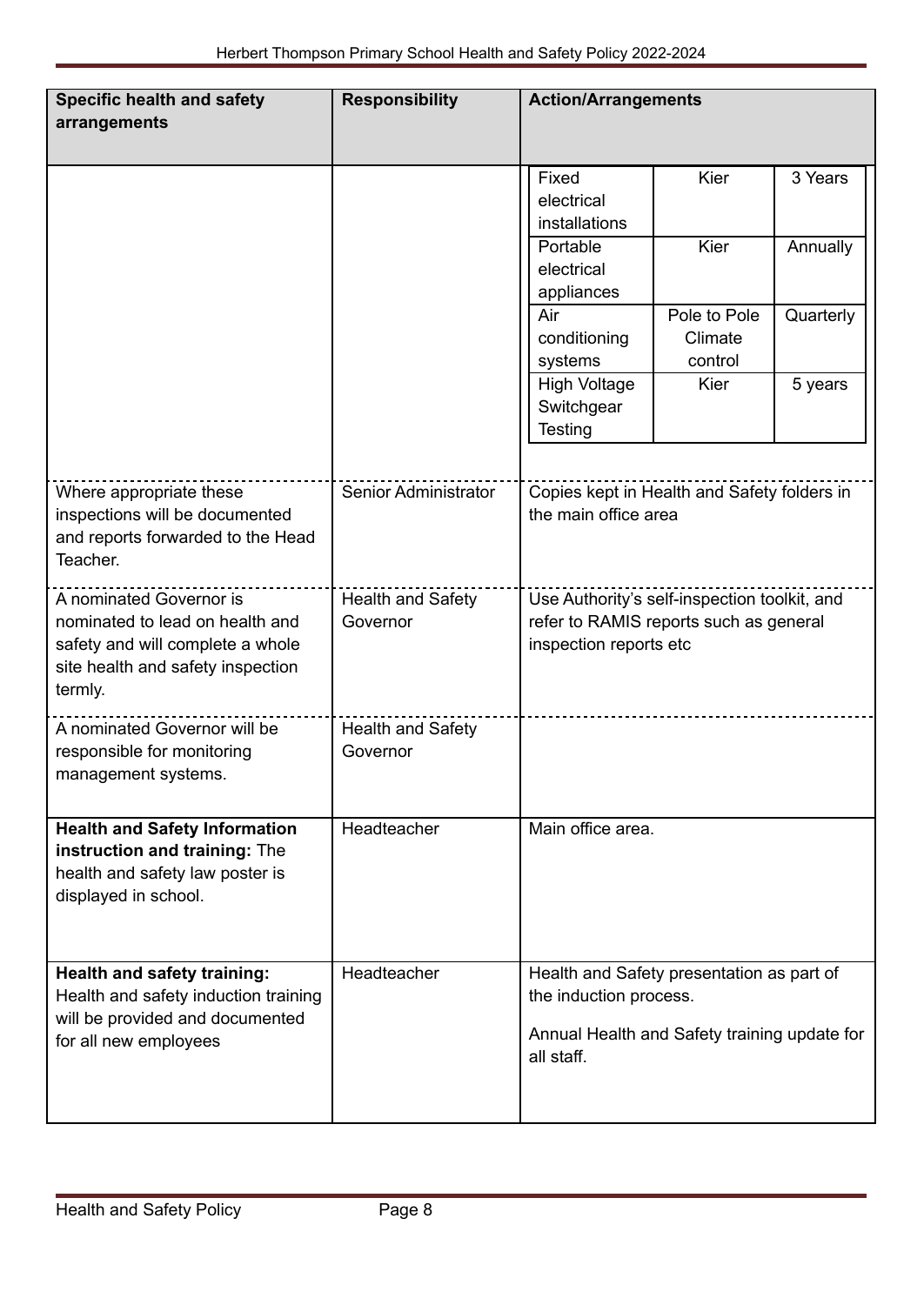| <b>Specific health and safety</b>                                                                                                              | <b>Responsibility</b>                | <b>Action/Arrangements</b>                                                                                                        |                                    |           |
|------------------------------------------------------------------------------------------------------------------------------------------------|--------------------------------------|-----------------------------------------------------------------------------------------------------------------------------------|------------------------------------|-----------|
| arrangements                                                                                                                                   |                                      |                                                                                                                                   |                                    |           |
|                                                                                                                                                |                                      |                                                                                                                                   |                                    |           |
|                                                                                                                                                |                                      | Fixed<br>electrical<br>installations                                                                                              | Kier                               | 3 Years   |
|                                                                                                                                                |                                      | Portable<br>electrical<br>appliances                                                                                              | Kier                               | Annually  |
|                                                                                                                                                |                                      | Air<br>conditioning<br>systems                                                                                                    | Pole to Pole<br>Climate<br>control | Quarterly |
|                                                                                                                                                |                                      | <b>High Voltage</b><br>Switchgear<br>Testing                                                                                      | Kier                               | 5 years   |
| Where appropriate these                                                                                                                        | Senior Administrator                 | Copies kept in Health and Safety folders in                                                                                       |                                    |           |
| inspections will be documented<br>and reports forwarded to the Head<br>Teacher.                                                                |                                      | the main office area                                                                                                              |                                    |           |
| A nominated Governor is<br>nominated to lead on health and<br>safety and will complete a whole<br>site health and safety inspection<br>termly. | <b>Health and Safety</b><br>Governor | Use Authority's self-inspection toolkit, and<br>refer to RAMIS reports such as general<br>inspection reports etc                  |                                    |           |
| A nominated Governor will be<br>responsible for monitoring<br>management systems.                                                              | <b>Health and Safety</b><br>Governor |                                                                                                                                   |                                    |           |
| <b>Health and Safety Information</b><br>instruction and training: The<br>health and safety law poster is<br>displayed in school.               | Headteacher                          | Main office area.                                                                                                                 |                                    |           |
| <b>Health and safety training:</b><br>Health and safety induction training<br>will be provided and documented<br>for all new employees         | Headteacher                          | Health and Safety presentation as part of<br>the induction process.<br>Annual Health and Safety training update for<br>all staff. |                                    |           |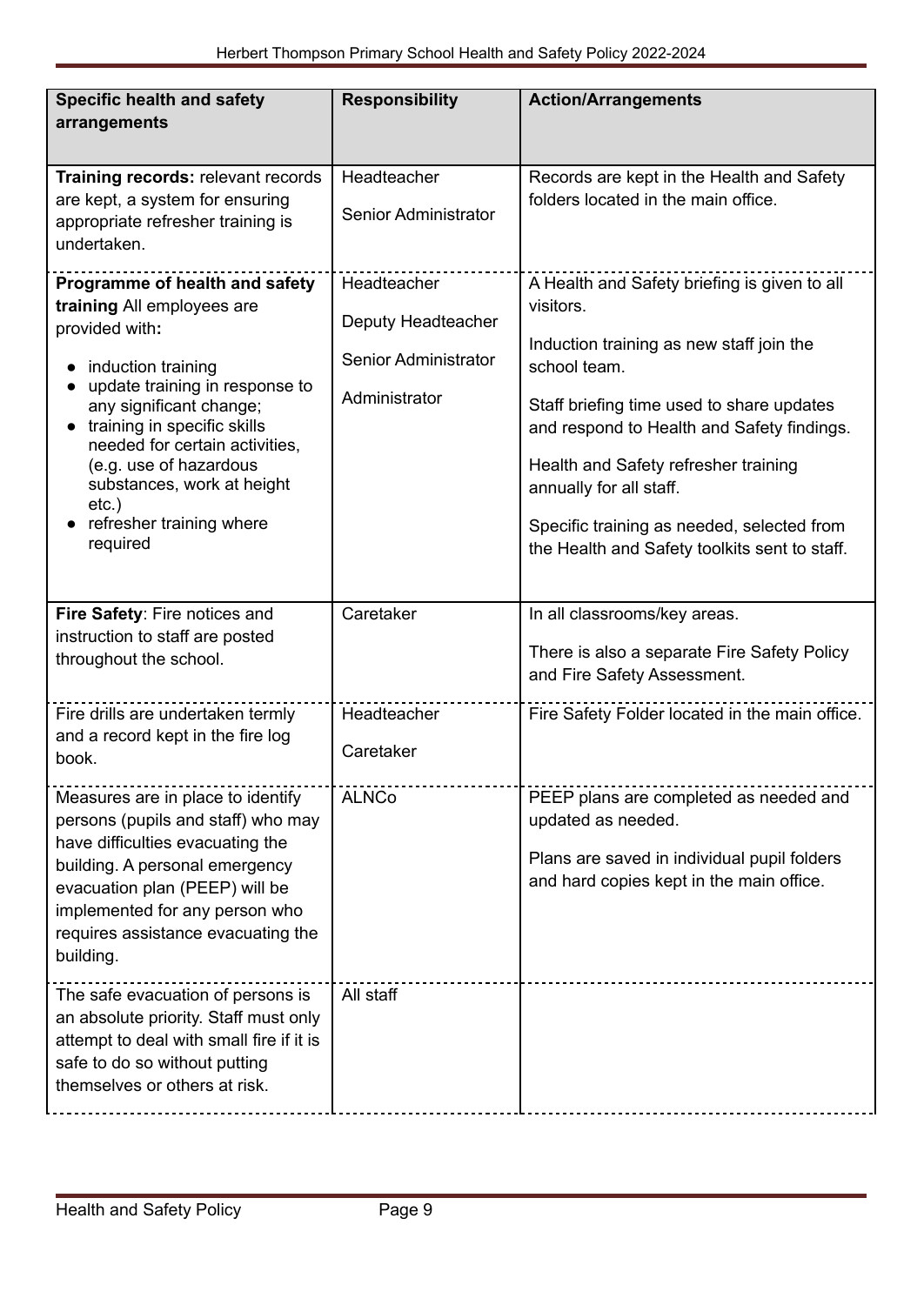| <b>Specific health and safety</b>                                                                                                                                                                                                                                                                                                              | <b>Responsibility</b>                                                      | <b>Action/Arrangements</b>                                                                                                                                                                                                                                                                                                                                                         |
|------------------------------------------------------------------------------------------------------------------------------------------------------------------------------------------------------------------------------------------------------------------------------------------------------------------------------------------------|----------------------------------------------------------------------------|------------------------------------------------------------------------------------------------------------------------------------------------------------------------------------------------------------------------------------------------------------------------------------------------------------------------------------------------------------------------------------|
| arrangements                                                                                                                                                                                                                                                                                                                                   |                                                                            |                                                                                                                                                                                                                                                                                                                                                                                    |
| Training records: relevant records<br>are kept, a system for ensuring<br>appropriate refresher training is<br>undertaken.                                                                                                                                                                                                                      | Headteacher<br>Senior Administrator                                        | Records are kept in the Health and Safety<br>folders located in the main office.                                                                                                                                                                                                                                                                                                   |
| Programme of health and safety<br>training All employees are<br>provided with:<br>induction training<br>update training in response to<br>any significant change;<br>training in specific skills<br>needed for certain activities,<br>(e.g. use of hazardous<br>substances, work at height<br>$etc.$ )<br>refresher training where<br>required | Headteacher<br>Deputy Headteacher<br>Senior Administrator<br>Administrator | A Health and Safety briefing is given to all<br>visitors.<br>Induction training as new staff join the<br>school team.<br>Staff briefing time used to share updates<br>and respond to Health and Safety findings.<br>Health and Safety refresher training<br>annually for all staff.<br>Specific training as needed, selected from<br>the Health and Safety toolkits sent to staff. |
| Fire Safety: Fire notices and<br>instruction to staff are posted<br>throughout the school.                                                                                                                                                                                                                                                     | Caretaker                                                                  | In all classrooms/key areas.<br>There is also a separate Fire Safety Policy<br>and Fire Safety Assessment.                                                                                                                                                                                                                                                                         |
| Fire drills are undertaken termly<br>and a record kept in the fire log<br>book.                                                                                                                                                                                                                                                                | Headteacher<br>Caretaker                                                   | Fire Safety Folder located in the main office.                                                                                                                                                                                                                                                                                                                                     |
| Measures are in place to identify<br>persons (pupils and staff) who may<br>have difficulties evacuating the<br>building. A personal emergency<br>evacuation plan (PEEP) will be<br>implemented for any person who<br>requires assistance evacuating the<br>building.                                                                           | <b>ALNCo</b>                                                               | PEEP plans are completed as needed and<br>updated as needed.<br>Plans are saved in individual pupil folders<br>and hard copies kept in the main office.                                                                                                                                                                                                                            |
| The safe evacuation of persons is<br>an absolute priority. Staff must only<br>attempt to deal with small fire if it is<br>safe to do so without putting<br>themselves or others at risk.                                                                                                                                                       | All staff                                                                  |                                                                                                                                                                                                                                                                                                                                                                                    |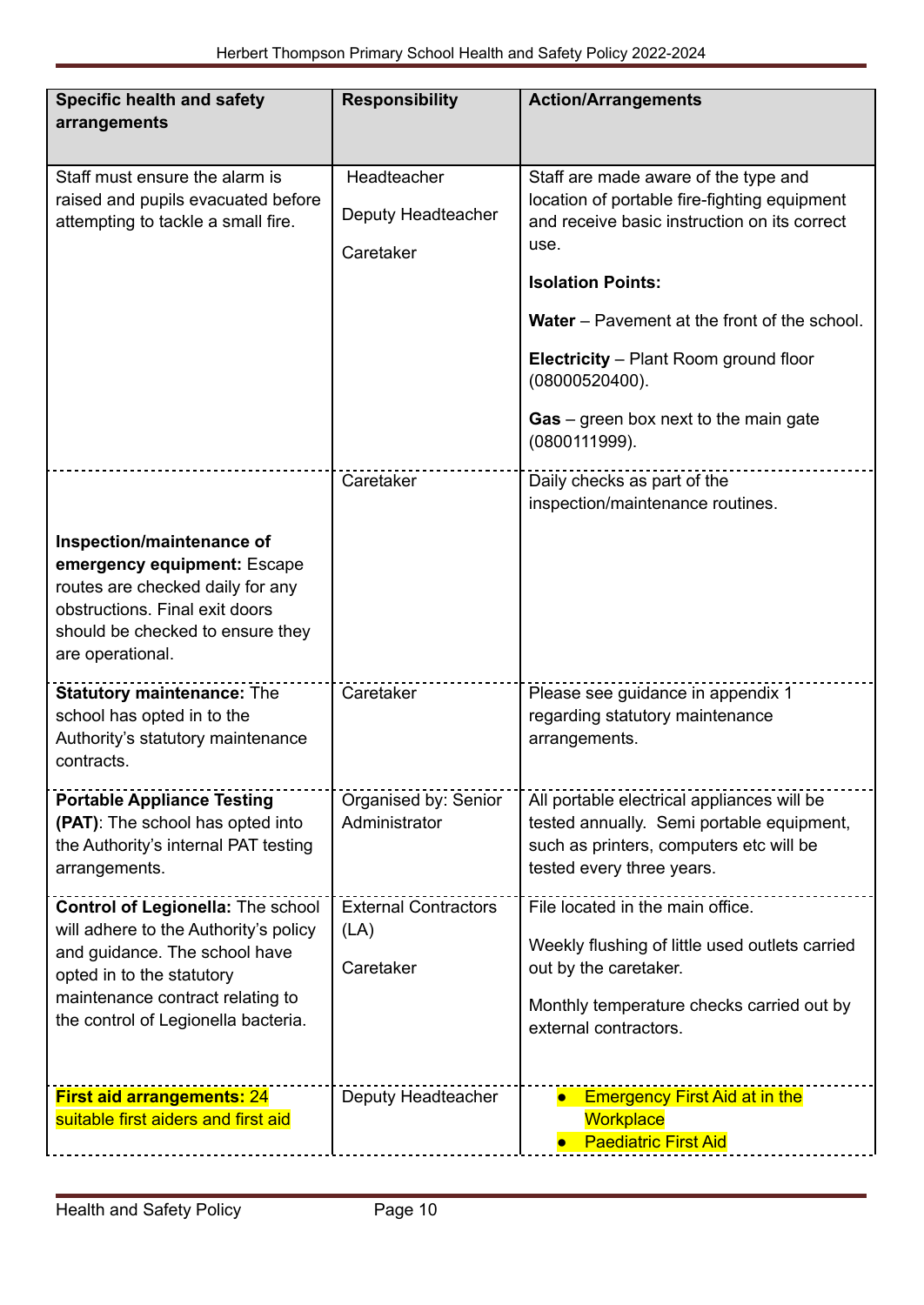| <b>Specific health and safety</b><br>arrangements                                                                                                                                                                          | <b>Responsibility</b>                            | <b>Action/Arrangements</b>                                                                                                                                                                                                                                                                                                                                  |
|----------------------------------------------------------------------------------------------------------------------------------------------------------------------------------------------------------------------------|--------------------------------------------------|-------------------------------------------------------------------------------------------------------------------------------------------------------------------------------------------------------------------------------------------------------------------------------------------------------------------------------------------------------------|
| Staff must ensure the alarm is<br>raised and pupils evacuated before<br>attempting to tackle a small fire.                                                                                                                 | Headteacher<br>Deputy Headteacher<br>Caretaker   | Staff are made aware of the type and<br>location of portable fire-fighting equipment<br>and receive basic instruction on its correct<br>use.<br><b>Isolation Points:</b><br><b>Water</b> – Pavement at the front of the school.<br><b>Electricity</b> – Plant Room ground floor<br>(08000520400).<br>Gas – green box next to the main gate<br>(0800111999). |
| Inspection/maintenance of<br>emergency equipment: Escape<br>routes are checked daily for any<br>obstructions. Final exit doors<br>should be checked to ensure they<br>are operational.                                     | Caretaker                                        | Daily checks as part of the<br>inspection/maintenance routines.                                                                                                                                                                                                                                                                                             |
| <b>Statutory maintenance: The</b><br>school has opted in to the<br>Authority's statutory maintenance<br>contracts.                                                                                                         | Caretaker                                        | Please see guidance in appendix 1<br>regarding statutory maintenance<br>arrangements.                                                                                                                                                                                                                                                                       |
| <b>Portable Appliance Testing</b><br>(PAT): The school has opted into<br>the Authority's internal PAT testing<br>arrangements.                                                                                             | Organised by: Senior<br>Administrator            | All portable electrical appliances will be<br>tested annually. Semi portable equipment,<br>such as printers, computers etc will be<br>tested every three years.                                                                                                                                                                                             |
| <b>Control of Legionella: The school</b><br>will adhere to the Authority's policy<br>and guidance. The school have<br>opted in to the statutory<br>maintenance contract relating to<br>the control of Legionella bacteria. | <b>External Contractors</b><br>(LA)<br>Caretaker | File located in the main office.<br>Weekly flushing of little used outlets carried<br>out by the caretaker.<br>Monthly temperature checks carried out by<br>external contractors.                                                                                                                                                                           |
| <b>First aid arrangements: 24</b><br>suitable first aiders and first aid                                                                                                                                                   | Deputy Headteacher                               | <b>Emergency First Aid at in the</b><br><b>Workplace</b><br><b>Paediatric First Aid</b>                                                                                                                                                                                                                                                                     |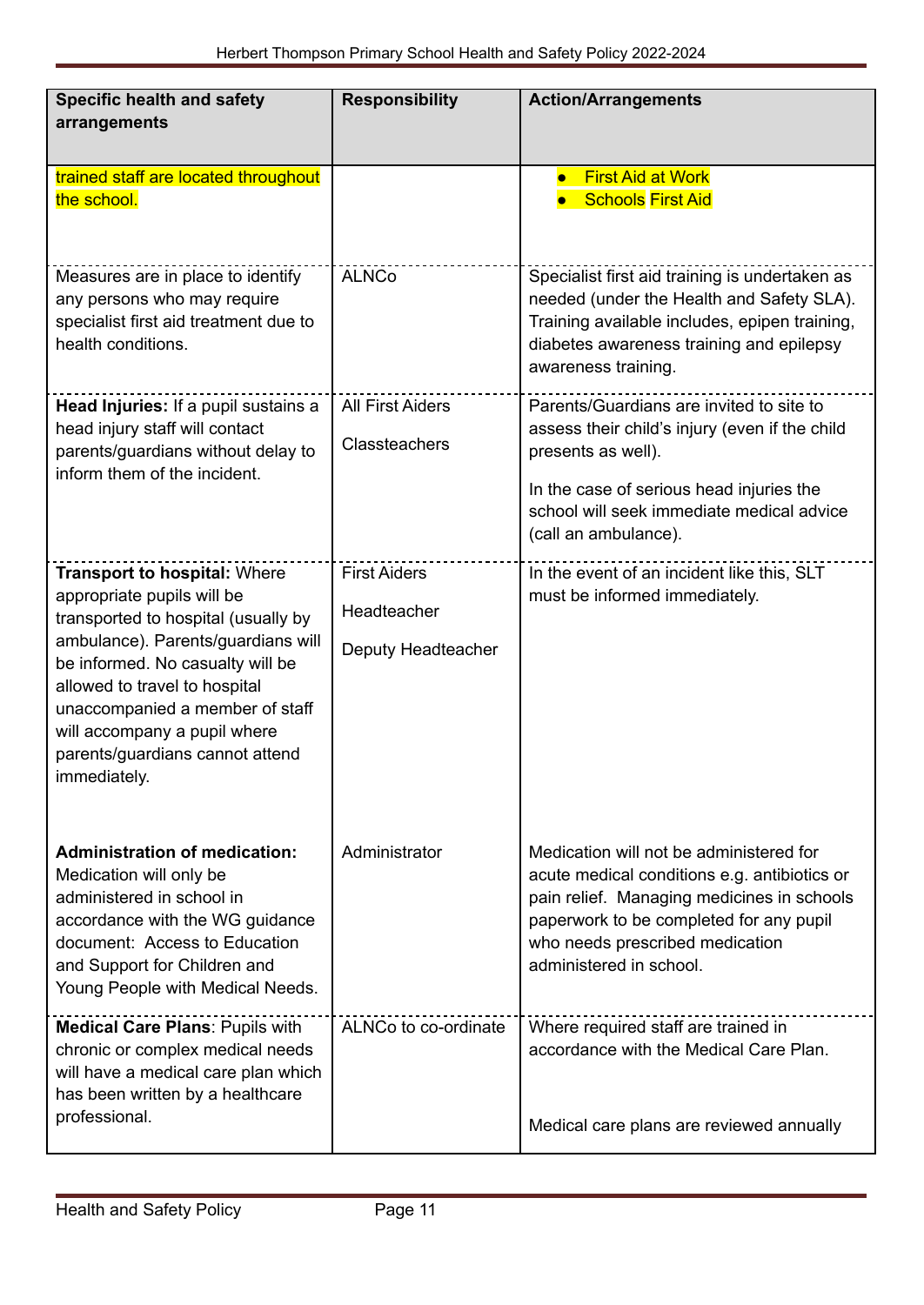| <b>Responsibility</b>                                    | <b>Action/Arrangements</b>                                                                                                                                                                                                                     |
|----------------------------------------------------------|------------------------------------------------------------------------------------------------------------------------------------------------------------------------------------------------------------------------------------------------|
|                                                          |                                                                                                                                                                                                                                                |
|                                                          | <b>First Aid at Work</b><br>$\bullet$<br><b>Schools First Aid</b>                                                                                                                                                                              |
| <b>ALNCo</b>                                             | Specialist first aid training is undertaken as<br>needed (under the Health and Safety SLA).<br>Training available includes, epipen training,<br>diabetes awareness training and epilepsy<br>awareness training.                                |
| <b>All First Aiders</b><br>Classteachers                 | Parents/Guardians are invited to site to<br>assess their child's injury (even if the child<br>presents as well).<br>In the case of serious head injuries the<br>school will seek immediate medical advice<br>(call an ambulance).              |
| <b>First Aiders</b><br>Headteacher<br>Deputy Headteacher | In the event of an incident like this, SLT<br>must be informed immediately.                                                                                                                                                                    |
| Administrator                                            | Medication will not be administered for<br>acute medical conditions e.g. antibiotics or<br>pain relief. Managing medicines in schools<br>paperwork to be completed for any pupil<br>who needs prescribed medication<br>administered in school. |
| ALNCo to co-ordinate                                     | Where required staff are trained in<br>accordance with the Medical Care Plan.<br>Medical care plans are reviewed annually                                                                                                                      |
|                                                          |                                                                                                                                                                                                                                                |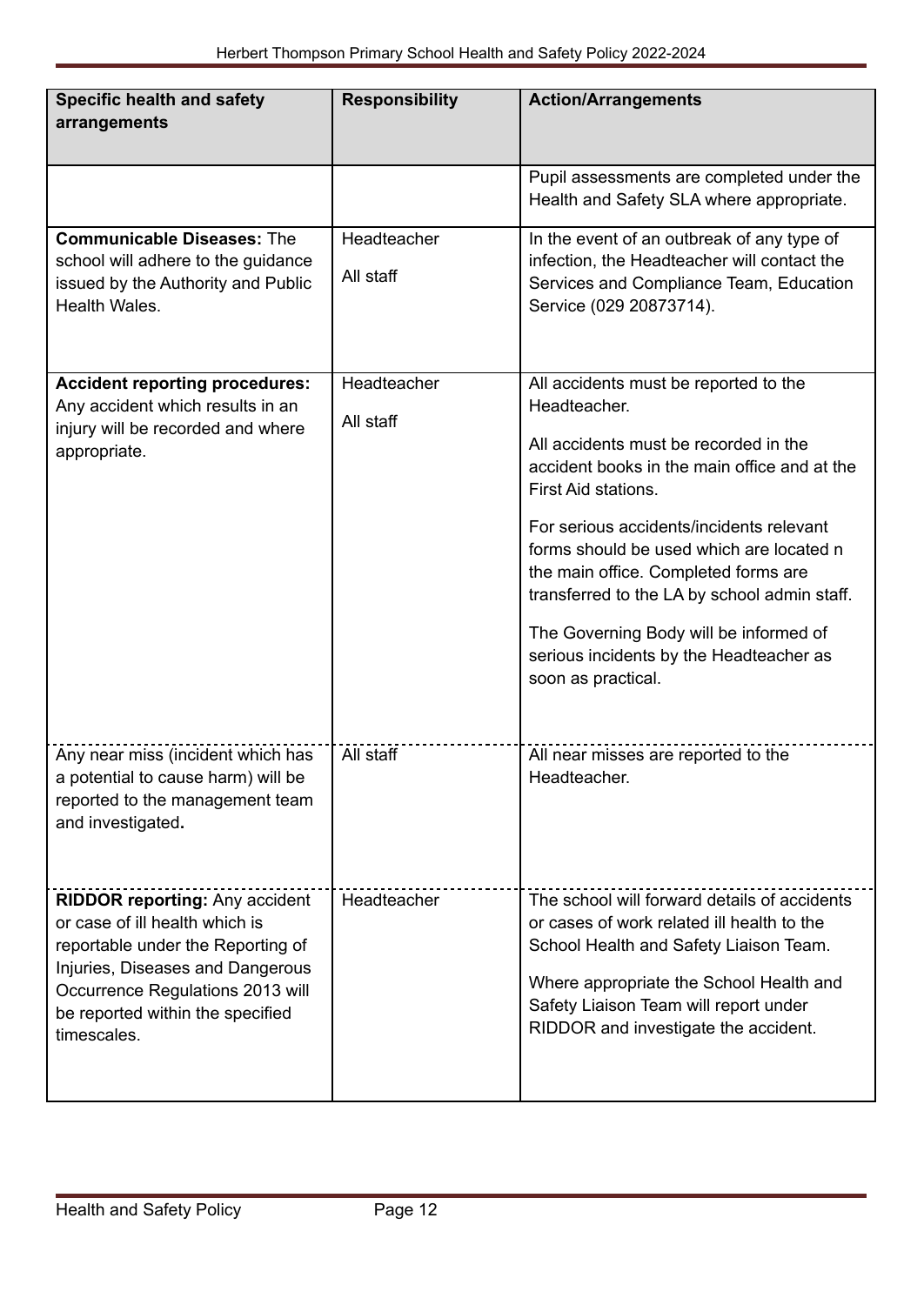| <b>Specific health and safety</b><br>arrangements                                                                                                                                                                                       | <b>Responsibility</b>    | <b>Action/Arrangements</b>                                                                                                                                                                                                                                                                                                                                                                                                                                       |
|-----------------------------------------------------------------------------------------------------------------------------------------------------------------------------------------------------------------------------------------|--------------------------|------------------------------------------------------------------------------------------------------------------------------------------------------------------------------------------------------------------------------------------------------------------------------------------------------------------------------------------------------------------------------------------------------------------------------------------------------------------|
|                                                                                                                                                                                                                                         |                          | Pupil assessments are completed under the<br>Health and Safety SLA where appropriate.                                                                                                                                                                                                                                                                                                                                                                            |
| <b>Communicable Diseases: The</b><br>school will adhere to the guidance<br>issued by the Authority and Public<br>Health Wales.                                                                                                          | Headteacher<br>All staff | In the event of an outbreak of any type of<br>infection, the Headteacher will contact the<br>Services and Compliance Team, Education<br>Service (029 20873714).                                                                                                                                                                                                                                                                                                  |
| <b>Accident reporting procedures:</b><br>Any accident which results in an<br>injury will be recorded and where<br>appropriate.                                                                                                          | Headteacher<br>All staff | All accidents must be reported to the<br>Headteacher.<br>All accidents must be recorded in the<br>accident books in the main office and at the<br>First Aid stations.<br>For serious accidents/incidents relevant<br>forms should be used which are located n<br>the main office. Completed forms are<br>transferred to the LA by school admin staff.<br>The Governing Body will be informed of<br>serious incidents by the Headteacher as<br>soon as practical. |
| Any near miss (incident which has<br>a potential to cause harm) will be<br>reported to the management team<br>and investigated.                                                                                                         | All staff                | All near misses are reported to the<br>Headteacher.                                                                                                                                                                                                                                                                                                                                                                                                              |
| <b>RIDDOR reporting: Any accident</b><br>or case of ill health which is<br>reportable under the Reporting of<br>Injuries, Diseases and Dangerous<br>Occurrence Regulations 2013 will<br>be reported within the specified<br>timescales. | Headteacher              | The school will forward details of accidents<br>or cases of work related ill health to the<br>School Health and Safety Liaison Team.<br>Where appropriate the School Health and<br>Safety Liaison Team will report under<br>RIDDOR and investigate the accident.                                                                                                                                                                                                 |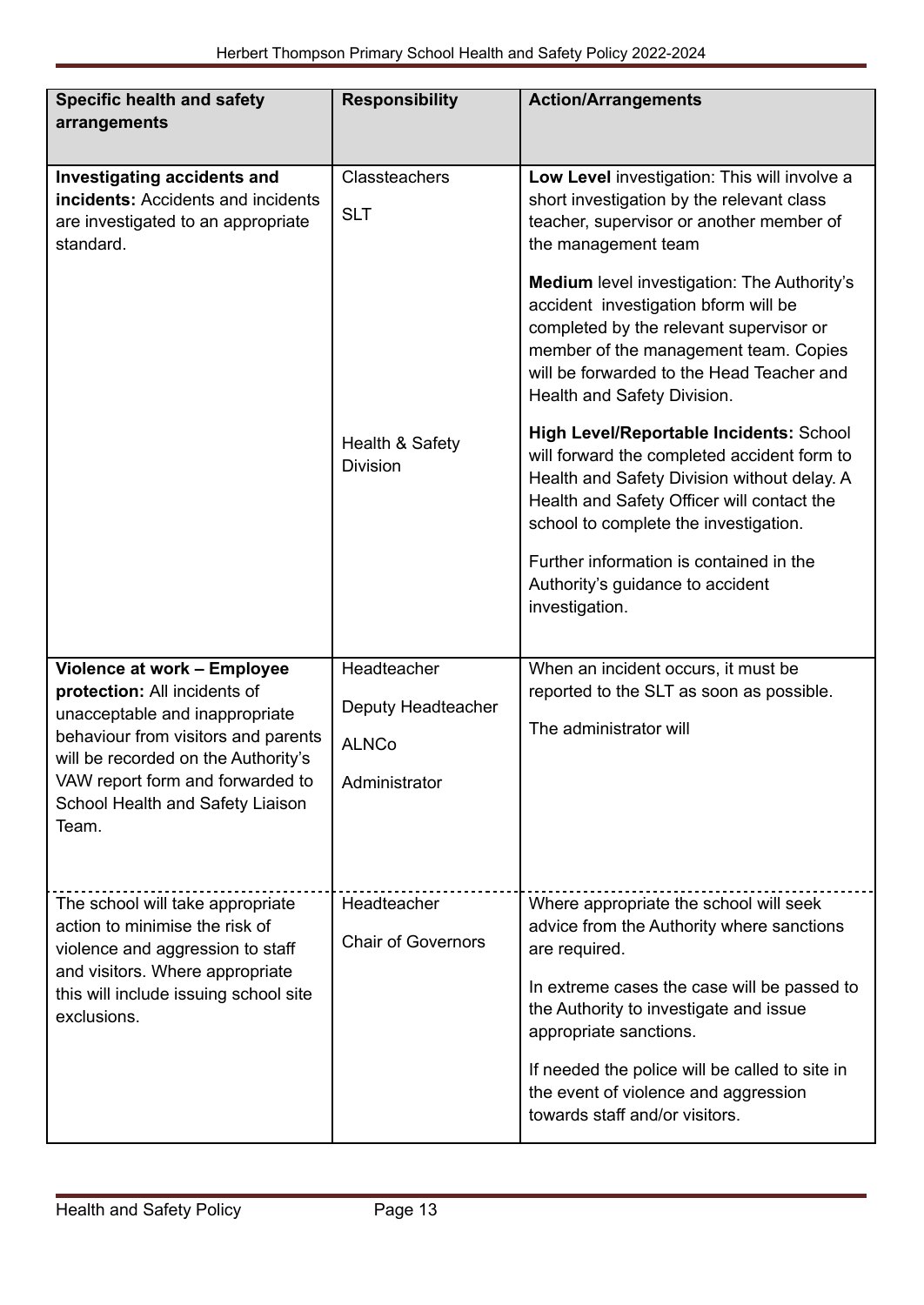| <b>Specific health and safety</b><br>arrangements                                                                                                                                                                                                            | <b>Responsibility</b>                                              | <b>Action/Arrangements</b>                                                                                                                                                                                                                                                                                                                          |
|--------------------------------------------------------------------------------------------------------------------------------------------------------------------------------------------------------------------------------------------------------------|--------------------------------------------------------------------|-----------------------------------------------------------------------------------------------------------------------------------------------------------------------------------------------------------------------------------------------------------------------------------------------------------------------------------------------------|
| Investigating accidents and<br>incidents: Accidents and incidents<br>are investigated to an appropriate<br>standard.                                                                                                                                         | Classteachers<br><b>SLT</b>                                        | Low Level investigation: This will involve a<br>short investigation by the relevant class<br>teacher, supervisor or another member of<br>the management team                                                                                                                                                                                        |
|                                                                                                                                                                                                                                                              |                                                                    | Medium level investigation: The Authority's<br>accident investigation bform will be<br>completed by the relevant supervisor or<br>member of the management team. Copies<br>will be forwarded to the Head Teacher and<br>Health and Safety Division.                                                                                                 |
|                                                                                                                                                                                                                                                              | Health & Safety<br><b>Division</b>                                 | High Level/Reportable Incidents: School<br>will forward the completed accident form to<br>Health and Safety Division without delay. A<br>Health and Safety Officer will contact the<br>school to complete the investigation.                                                                                                                        |
|                                                                                                                                                                                                                                                              |                                                                    | Further information is contained in the<br>Authority's guidance to accident<br>investigation.                                                                                                                                                                                                                                                       |
| Violence at work - Employee<br>protection: All incidents of<br>unacceptable and inappropriate<br>behaviour from visitors and parents<br>will be recorded on the Authority's<br>VAW report form and forwarded to<br>School Health and Safety Liaison<br>Team. | Headteacher<br>Deputy Headteacher<br><b>ALNCo</b><br>Administrator | When an incident occurs, it must be<br>reported to the SLT as soon as possible.<br>The administrator will                                                                                                                                                                                                                                           |
| The school will take appropriate<br>action to minimise the risk of<br>violence and aggression to staff<br>and visitors. Where appropriate<br>this will include issuing school site<br>exclusions.                                                            | Headteacher<br><b>Chair of Governors</b>                           | Where appropriate the school will seek<br>advice from the Authority where sanctions<br>are required.<br>In extreme cases the case will be passed to<br>the Authority to investigate and issue<br>appropriate sanctions.<br>If needed the police will be called to site in<br>the event of violence and aggression<br>towards staff and/or visitors. |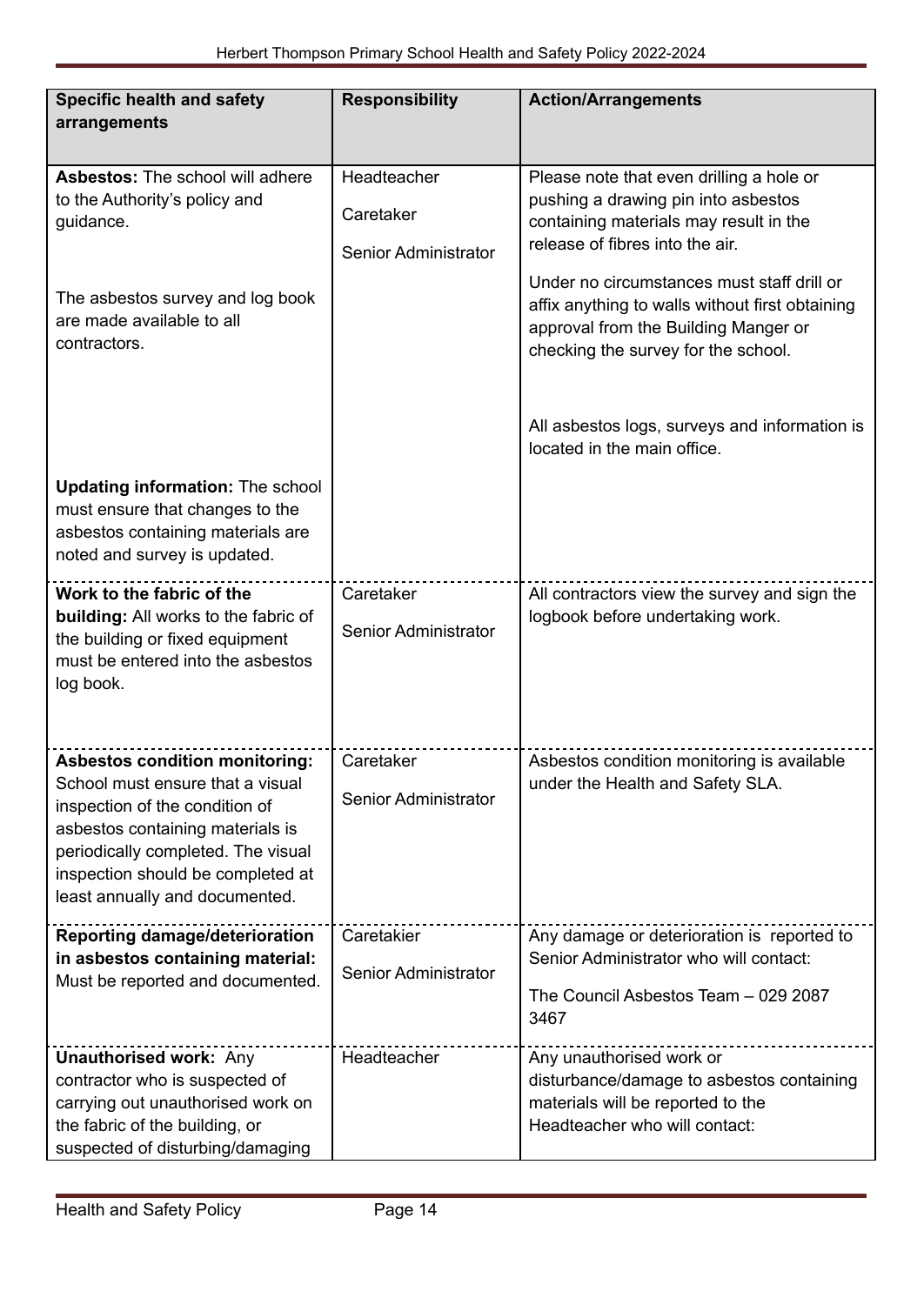| <b>Specific health and safety</b><br>arrangements                                                                                                                                                                                                            | <b>Responsibility</b>                                   | <b>Action/Arrangements</b>                                                                                                                                                   |
|--------------------------------------------------------------------------------------------------------------------------------------------------------------------------------------------------------------------------------------------------------------|---------------------------------------------------------|------------------------------------------------------------------------------------------------------------------------------------------------------------------------------|
| <b>Asbestos: The school will adhere</b><br>to the Authority's policy and<br>guidance.                                                                                                                                                                        | Headteacher<br>Caretaker<br><b>Senior Administrator</b> | Please note that even drilling a hole or<br>pushing a drawing pin into asbestos<br>containing materials may result in the<br>release of fibres into the air.                 |
| The asbestos survey and log book<br>are made available to all<br>contractors.                                                                                                                                                                                |                                                         | Under no circumstances must staff drill or<br>affix anything to walls without first obtaining<br>approval from the Building Manger or<br>checking the survey for the school. |
|                                                                                                                                                                                                                                                              |                                                         | All asbestos logs, surveys and information is<br>located in the main office.                                                                                                 |
| <b>Updating information: The school</b><br>must ensure that changes to the<br>asbestos containing materials are<br>noted and survey is updated.                                                                                                              |                                                         |                                                                                                                                                                              |
| Work to the fabric of the<br>building: All works to the fabric of<br>the building or fixed equipment<br>must be entered into the asbestos<br>log book.                                                                                                       | Caretaker<br><b>Senior Administrator</b>                | All contractors view the survey and sign the<br>logbook before undertaking work.                                                                                             |
| <b>Asbestos condition monitoring:</b><br>School must ensure that a visual<br>inspection of the condition of<br>asbestos containing materials is<br>periodically completed. The visual<br>inspection should be completed at<br>least annually and documented. | Caretaker<br><b>Senior Administrator</b>                | Asbestos condition monitoring is available<br>under the Health and Safety SLA.                                                                                               |
| Reporting damage/deterioration<br>in asbestos containing material:<br>Must be reported and documented.                                                                                                                                                       | Caretakier<br>Senior Administrator                      | Any damage or deterioration is reported to<br>Senior Administrator who will contact:<br>The Council Asbestos Team - 029 2087<br>3467                                         |
| <b>Unauthorised work: Any</b><br>contractor who is suspected of<br>carrying out unauthorised work on<br>the fabric of the building, or<br>suspected of disturbing/damaging                                                                                   | Headteacher                                             | Any unauthorised work or<br>disturbance/damage to asbestos containing<br>materials will be reported to the<br>Headteacher who will contact:                                  |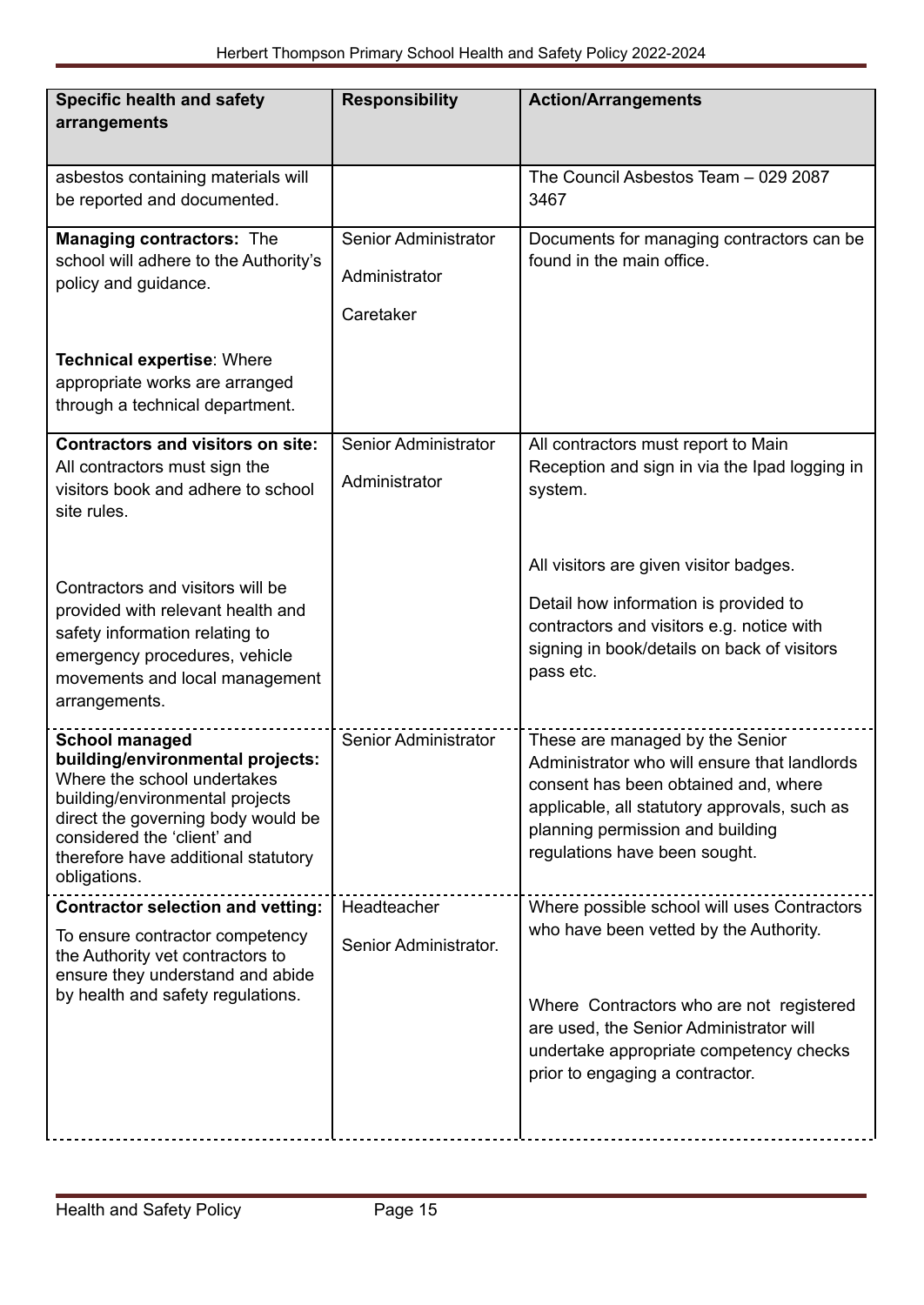| <b>Specific health and safety</b><br>arrangements                                                                                                                                                                                                       | <b>Responsibility</b>                              | <b>Action/Arrangements</b>                                                                                                                                                                                                                                 |
|---------------------------------------------------------------------------------------------------------------------------------------------------------------------------------------------------------------------------------------------------------|----------------------------------------------------|------------------------------------------------------------------------------------------------------------------------------------------------------------------------------------------------------------------------------------------------------------|
| asbestos containing materials will<br>be reported and documented.                                                                                                                                                                                       |                                                    | The Council Asbestos Team - 029 2087<br>3467                                                                                                                                                                                                               |
| <b>Managing contractors: The</b><br>school will adhere to the Authority's<br>policy and guidance.<br>Technical expertise: Where<br>appropriate works are arranged<br>through a technical department.                                                    | Senior Administrator<br>Administrator<br>Caretaker | Documents for managing contractors can be<br>found in the main office.                                                                                                                                                                                     |
| <b>Contractors and visitors on site:</b><br>All contractors must sign the<br>visitors book and adhere to school<br>site rules.                                                                                                                          | Senior Administrator<br>Administrator              | All contractors must report to Main<br>Reception and sign in via the Ipad logging in<br>system.                                                                                                                                                            |
| Contractors and visitors will be<br>provided with relevant health and<br>safety information relating to<br>emergency procedures, vehicle<br>movements and local management<br>arrangements.                                                             |                                                    | All visitors are given visitor badges.<br>Detail how information is provided to<br>contractors and visitors e.g. notice with<br>signing in book/details on back of visitors<br>pass etc.                                                                   |
| <b>School managed</b><br>building/environmental projects:<br>Where the school undertakes<br>building/environmental projects<br>direct the governing body would be<br>considered the 'client' and<br>therefore have additional statutory<br>obligations. | Senior Administrator                               | These are managed by the Senior<br>Administrator who will ensure that landlords<br>consent has been obtained and, where<br>applicable, all statutory approvals, such as<br>planning permission and building<br>regulations have been sought.               |
| <b>Contractor selection and vetting:</b><br>To ensure contractor competency<br>the Authority vet contractors to<br>ensure they understand and abide<br>by health and safety regulations.                                                                | Headteacher<br>Senior Administrator.               | Where possible school will uses Contractors<br>who have been vetted by the Authority.<br>Where Contractors who are not registered<br>are used, the Senior Administrator will<br>undertake appropriate competency checks<br>prior to engaging a contractor. |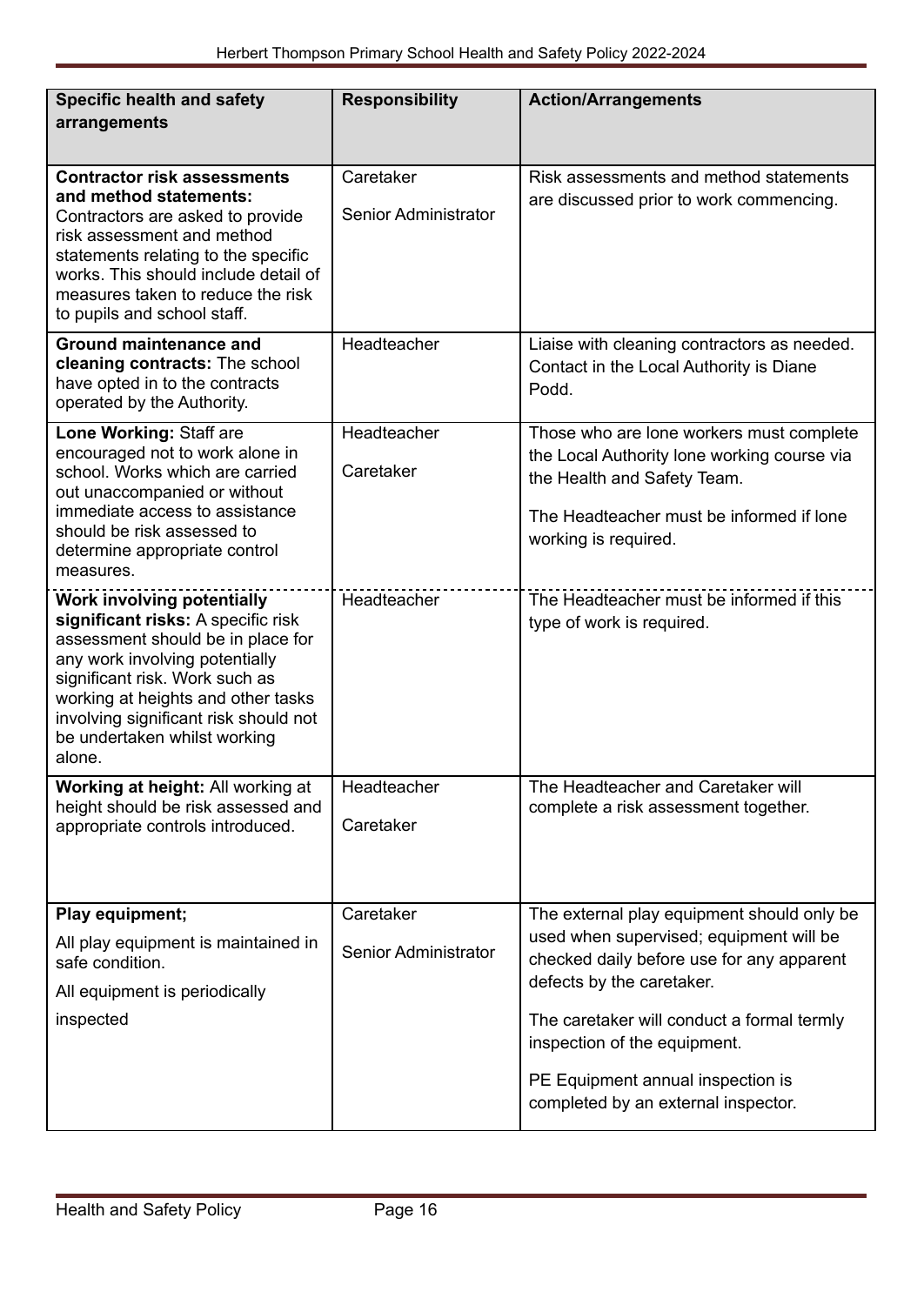| <b>Specific health and safety</b><br>arrangements                                                                                                                                                                                                                                                         | <b>Responsibility</b>             | <b>Action/Arrangements</b>                                                                                                                                                                 |
|-----------------------------------------------------------------------------------------------------------------------------------------------------------------------------------------------------------------------------------------------------------------------------------------------------------|-----------------------------------|--------------------------------------------------------------------------------------------------------------------------------------------------------------------------------------------|
|                                                                                                                                                                                                                                                                                                           |                                   |                                                                                                                                                                                            |
| <b>Contractor risk assessments</b><br>and method statements:<br>Contractors are asked to provide<br>risk assessment and method<br>statements relating to the specific<br>works. This should include detail of<br>measures taken to reduce the risk<br>to pupils and school staff.                         | Caretaker<br>Senior Administrator | Risk assessments and method statements<br>are discussed prior to work commencing.                                                                                                          |
| <b>Ground maintenance and</b><br>cleaning contracts: The school<br>have opted in to the contracts<br>operated by the Authority.                                                                                                                                                                           | Headteacher                       | Liaise with cleaning contractors as needed.<br>Contact in the Local Authority is Diane<br>Podd.                                                                                            |
| Lone Working: Staff are<br>encouraged not to work alone in<br>school. Works which are carried<br>out unaccompanied or without<br>immediate access to assistance<br>should be risk assessed to<br>determine appropriate control<br>measures.                                                               | Headteacher<br>Caretaker          | Those who are lone workers must complete<br>the Local Authority lone working course via<br>the Health and Safety Team.<br>The Headteacher must be informed if lone<br>working is required. |
| <b>Work involving potentially</b><br>significant risks: A specific risk<br>assessment should be in place for<br>any work involving potentially<br>significant risk. Work such as<br>working at heights and other tasks<br>involving significant risk should not<br>be undertaken whilst working<br>alone. | Headteacher                       | The Headteacher must be informed if this<br>type of work is required.                                                                                                                      |
| Working at height: All working at<br>height should be risk assessed and<br>appropriate controls introduced.                                                                                                                                                                                               | Headteacher<br>Caretaker          | The Headteacher and Caretaker will<br>complete a risk assessment together.                                                                                                                 |
| Play equipment;                                                                                                                                                                                                                                                                                           | Caretaker                         | The external play equipment should only be                                                                                                                                                 |
| All play equipment is maintained in<br>safe condition.<br>All equipment is periodically                                                                                                                                                                                                                   | Senior Administrator              | used when supervised; equipment will be<br>checked daily before use for any apparent<br>defects by the caretaker.                                                                          |
| inspected                                                                                                                                                                                                                                                                                                 |                                   | The caretaker will conduct a formal termly<br>inspection of the equipment.                                                                                                                 |
|                                                                                                                                                                                                                                                                                                           |                                   | PE Equipment annual inspection is<br>completed by an external inspector.                                                                                                                   |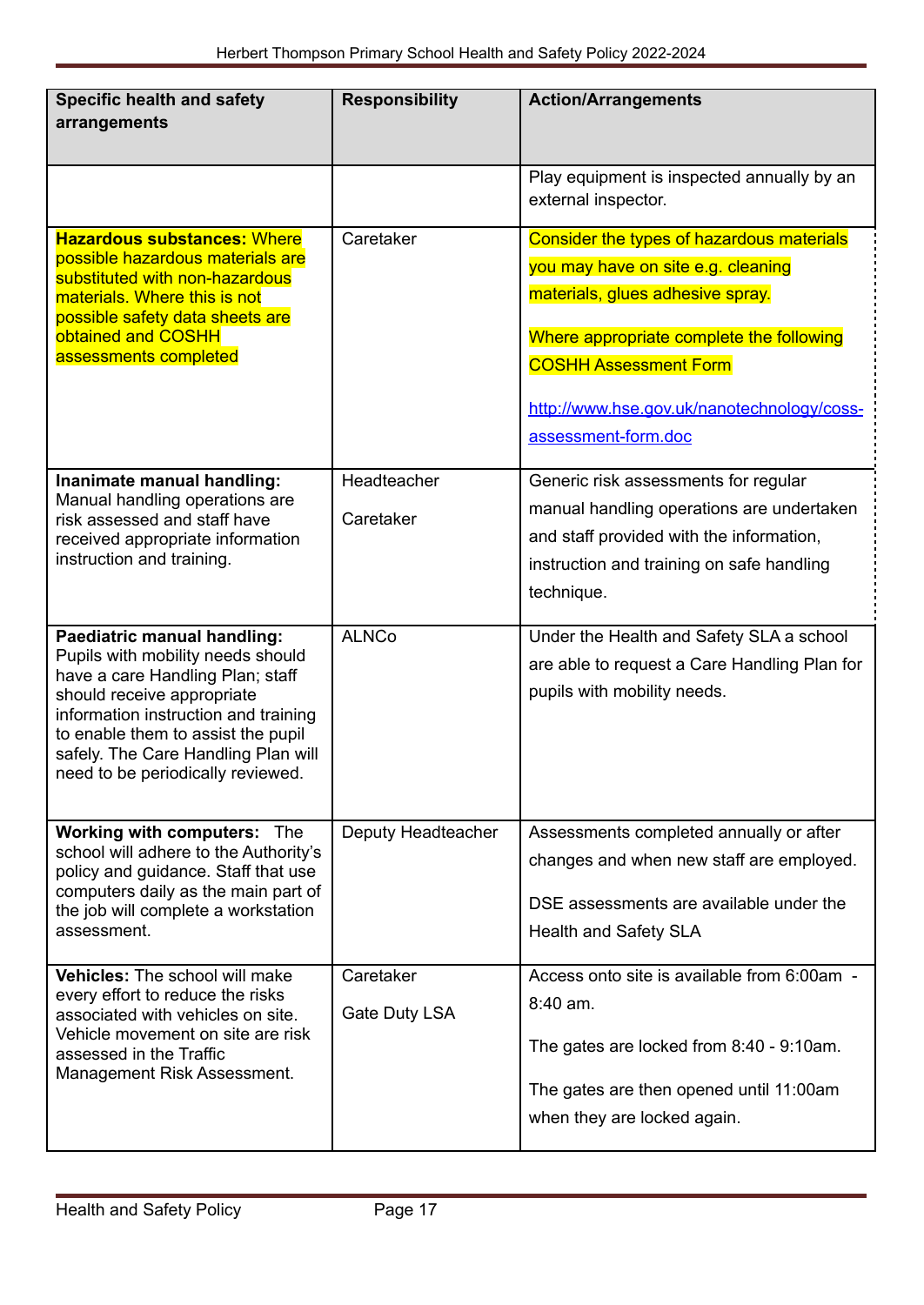| <b>Specific health and safety</b><br>arrangements                                                                                                                                                                                                                                            | <b>Responsibility</b>      | <b>Action/Arrangements</b>                                                                                                                                                                                                                                           |
|----------------------------------------------------------------------------------------------------------------------------------------------------------------------------------------------------------------------------------------------------------------------------------------------|----------------------------|----------------------------------------------------------------------------------------------------------------------------------------------------------------------------------------------------------------------------------------------------------------------|
|                                                                                                                                                                                                                                                                                              |                            | Play equipment is inspected annually by an<br>external inspector.                                                                                                                                                                                                    |
| <b>Hazardous substances: Where</b><br>possible hazardous materials are<br>substituted with non-hazardous<br>materials. Where this is not<br>possible safety data sheets are<br>obtained and COSHH<br>assessments completed                                                                   | Caretaker                  | Consider the types of hazardous materials<br>you may have on site e.g. cleaning<br>materials, glues adhesive spray.<br>Where appropriate complete the following<br><b>COSHH Assessment Form</b><br>http://www.hse.gov.uk/nanotechnology/coss-<br>assessment-form.doc |
| Inanimate manual handling:<br>Manual handling operations are<br>risk assessed and staff have<br>received appropriate information<br>instruction and training.                                                                                                                                | Headteacher<br>Caretaker   | Generic risk assessments for regular<br>manual handling operations are undertaken<br>and staff provided with the information,<br>instruction and training on safe handling<br>technique.                                                                             |
| Paediatric manual handling:<br>Pupils with mobility needs should<br>have a care Handling Plan; staff<br>should receive appropriate<br>information instruction and training<br>to enable them to assist the pupil<br>safely. The Care Handling Plan will<br>need to be periodically reviewed. | <b>ALNCo</b>               | Under the Health and Safety SLA a school<br>are able to request a Care Handling Plan for<br>pupils with mobility needs.                                                                                                                                              |
| <b>Working with computers: The</b><br>school will adhere to the Authority's<br>policy and guidance. Staff that use<br>computers daily as the main part of<br>the job will complete a workstation<br>assessment.                                                                              | Deputy Headteacher         | Assessments completed annually or after<br>changes and when new staff are employed.<br>DSE assessments are available under the<br><b>Health and Safety SLA</b>                                                                                                       |
| Vehicles: The school will make<br>every effort to reduce the risks<br>associated with vehicles on site.<br>Vehicle movement on site are risk<br>assessed in the Traffic<br>Management Risk Assessment.                                                                                       | Caretaker<br>Gate Duty LSA | Access onto site is available from 6:00am -<br>8:40 am.<br>The gates are locked from 8:40 - 9:10am.<br>The gates are then opened until 11:00am<br>when they are locked again.                                                                                        |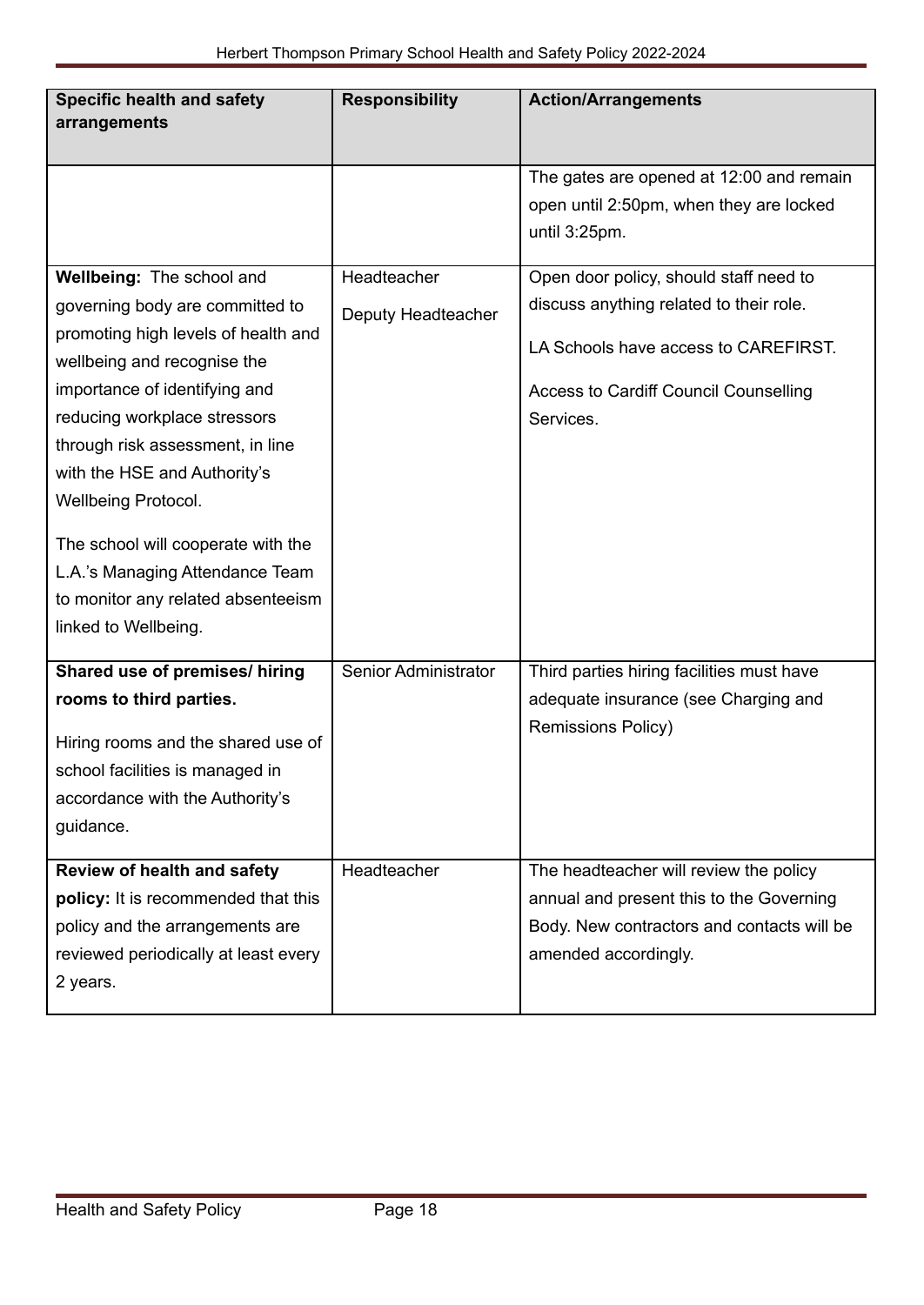| <b>Specific health and safety</b><br>arrangements                                                                                                                                                                                                                                                                                                                                                                                     | <b>Responsibility</b>             | <b>Action/Arrangements</b>                                                                                                                                                             |
|---------------------------------------------------------------------------------------------------------------------------------------------------------------------------------------------------------------------------------------------------------------------------------------------------------------------------------------------------------------------------------------------------------------------------------------|-----------------------------------|----------------------------------------------------------------------------------------------------------------------------------------------------------------------------------------|
|                                                                                                                                                                                                                                                                                                                                                                                                                                       |                                   | The gates are opened at 12:00 and remain<br>open until 2:50pm, when they are locked<br>until 3:25pm.                                                                                   |
| Wellbeing: The school and<br>governing body are committed to<br>promoting high levels of health and<br>wellbeing and recognise the<br>importance of identifying and<br>reducing workplace stressors<br>through risk assessment, in line<br>with the HSE and Authority's<br>Wellbeing Protocol.<br>The school will cooperate with the<br>L.A.'s Managing Attendance Team<br>to monitor any related absenteeism<br>linked to Wellbeing. | Headteacher<br>Deputy Headteacher | Open door policy, should staff need to<br>discuss anything related to their role.<br>LA Schools have access to CAREFIRST.<br><b>Access to Cardiff Council Counselling</b><br>Services. |
| Shared use of premises/ hiring<br>rooms to third parties.<br>Hiring rooms and the shared use of<br>school facilities is managed in<br>accordance with the Authority's<br>guidance.                                                                                                                                                                                                                                                    | Senior Administrator              | Third parties hiring facilities must have<br>adequate insurance (see Charging and<br><b>Remissions Policy)</b>                                                                         |
| Review of health and safety<br>policy: It is recommended that this<br>policy and the arrangements are<br>reviewed periodically at least every<br>2 years.                                                                                                                                                                                                                                                                             | Headteacher                       | The headteacher will review the policy<br>annual and present this to the Governing<br>Body. New contractors and contacts will be<br>amended accordingly.                               |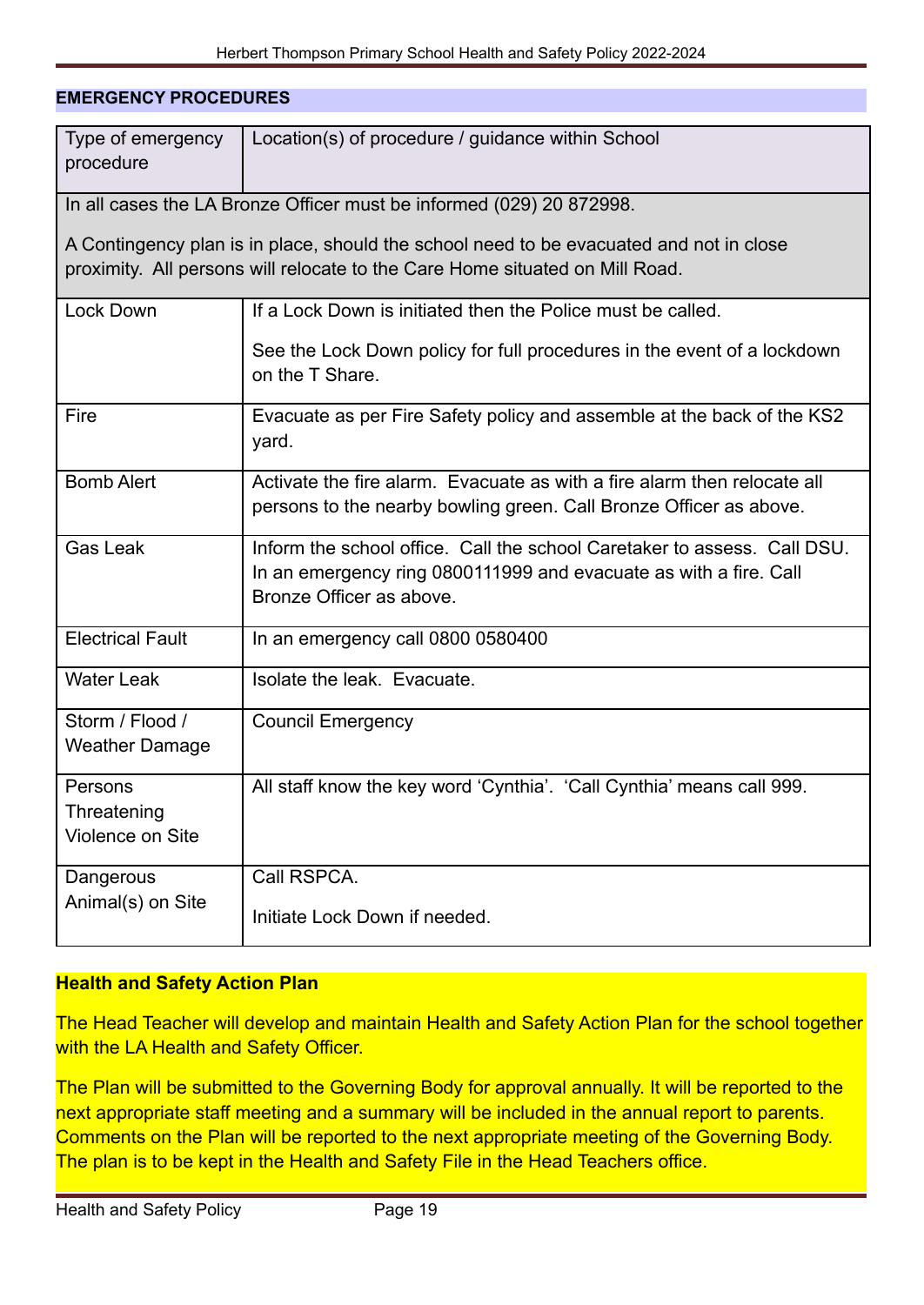# **EMERGENCY PROCEDURES**

| Type of emergency<br>procedure                                                                                                                                          | Location(s) of procedure / guidance within School                                                                                                                         |  |  |  |
|-------------------------------------------------------------------------------------------------------------------------------------------------------------------------|---------------------------------------------------------------------------------------------------------------------------------------------------------------------------|--|--|--|
| In all cases the LA Bronze Officer must be informed (029) 20 872998.                                                                                                    |                                                                                                                                                                           |  |  |  |
| A Contingency plan is in place, should the school need to be evacuated and not in close<br>proximity. All persons will relocate to the Care Home situated on Mill Road. |                                                                                                                                                                           |  |  |  |
| <b>Lock Down</b>                                                                                                                                                        | If a Lock Down is initiated then the Police must be called.                                                                                                               |  |  |  |
|                                                                                                                                                                         | See the Lock Down policy for full procedures in the event of a lockdown<br>on the T Share.                                                                                |  |  |  |
| Fire                                                                                                                                                                    | Evacuate as per Fire Safety policy and assemble at the back of the KS2<br>yard.                                                                                           |  |  |  |
| <b>Bomb Alert</b>                                                                                                                                                       | Activate the fire alarm. Evacuate as with a fire alarm then relocate all<br>persons to the nearby bowling green. Call Bronze Officer as above.                            |  |  |  |
| <b>Gas Leak</b>                                                                                                                                                         | Inform the school office. Call the school Caretaker to assess. Call DSU.<br>In an emergency ring 0800111999 and evacuate as with a fire. Call<br>Bronze Officer as above. |  |  |  |
| <b>Electrical Fault</b>                                                                                                                                                 | In an emergency call 0800 0580400                                                                                                                                         |  |  |  |
| <b>Water Leak</b>                                                                                                                                                       | Isolate the leak. Evacuate.                                                                                                                                               |  |  |  |
| Storm / Flood /<br><b>Weather Damage</b>                                                                                                                                | <b>Council Emergency</b>                                                                                                                                                  |  |  |  |
| Persons<br>Threatening<br>Violence on Site                                                                                                                              | All staff know the key word 'Cynthia'. 'Call Cynthia' means call 999.                                                                                                     |  |  |  |
| Dangerous                                                                                                                                                               | Call RSPCA.                                                                                                                                                               |  |  |  |
| Animal(s) on Site                                                                                                                                                       | Initiate Lock Down if needed.                                                                                                                                             |  |  |  |

## **Health and Safety Action Plan**

The Head Teacher will develop and maintain Health and Safety Action Plan for the school together with the LA Health and Safety Officer.

The Plan will be submitted to the Governing Body for approval annually. It will be reported to the next appropriate staff meeting and a summary will be included in the annual report to parents. Comments on the Plan will be reported to the next appropriate meeting of the Governing Body. The plan is to be kept in the Health and Safety File in the Head Teachers office.